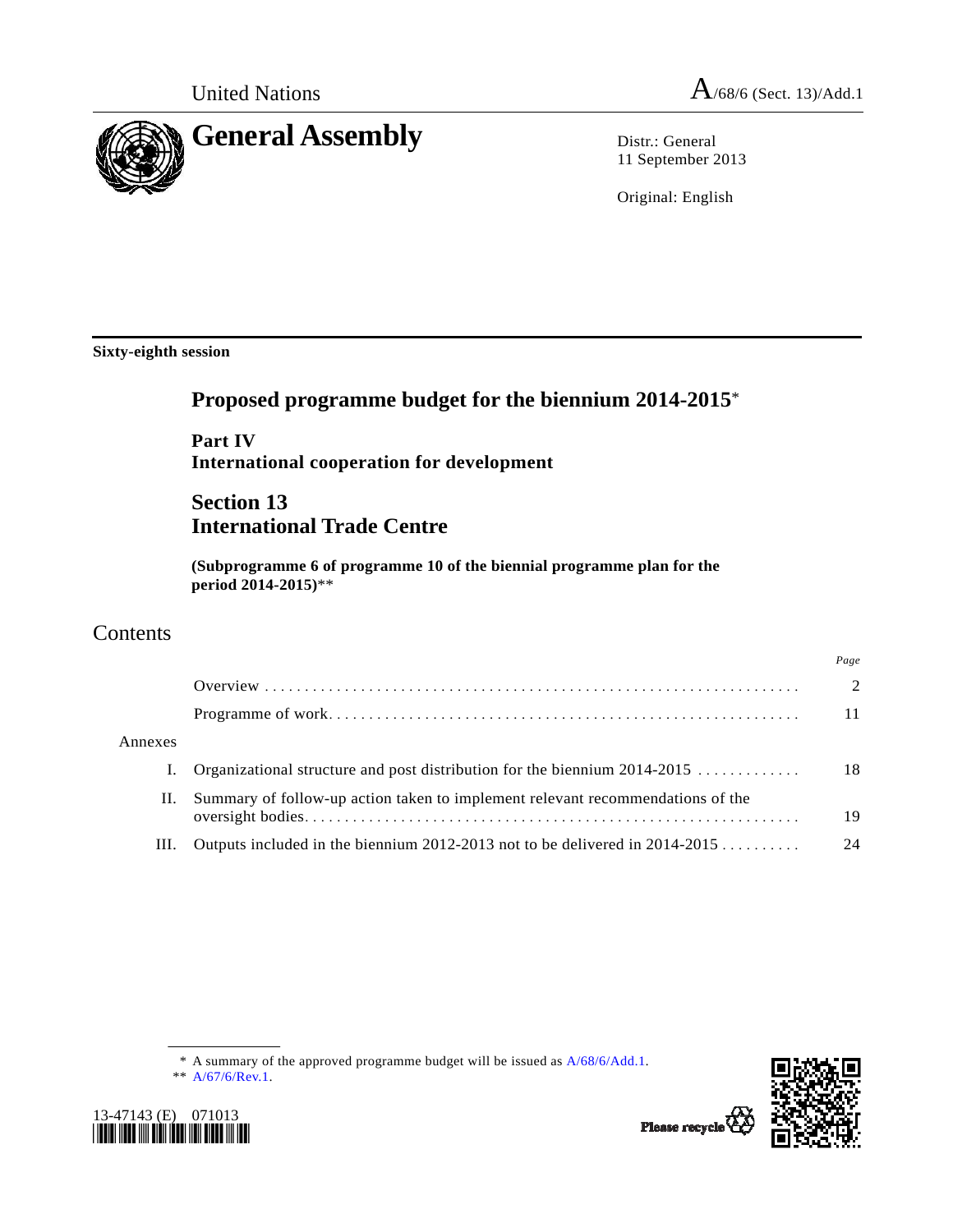

11 September 2013

Original: English

**Sixty-eighth session** 

# **Proposed programme budget for the biennium 2014-2015**\*

 **Part IV International cooperation for development** 

# **Section 13 International Trade Centre**

 **(Subprogramme 6 of programme 10 of the biennial programme plan for the period 2014-2015)**\*\*

# Contents

|         |                                                                                | Page          |
|---------|--------------------------------------------------------------------------------|---------------|
|         |                                                                                | $\mathcal{D}$ |
|         |                                                                                | 11            |
| Annexes |                                                                                |               |
| I.      | Organizational structure and post distribution for the biennium $2014-2015$    | 18            |
| П.      | Summary of follow-up action taken to implement relevant recommendations of the | 19            |
| Ш.      | Outputs included in the biennium 2012-2013 not to be delivered in $2014-2015$  | 24            |
|         |                                                                                |               |

 <sup>\*\*</sup> [A/67/6/Rev.1.](http://undocs.org/A/67/6/Rev.1)





Please recycle<sup>7</sup>

 <sup>\*</sup> A summary of the approved programme budget will be issued as [A/68/6/Add.1.](http://undocs.org/A/68/6/Add.1)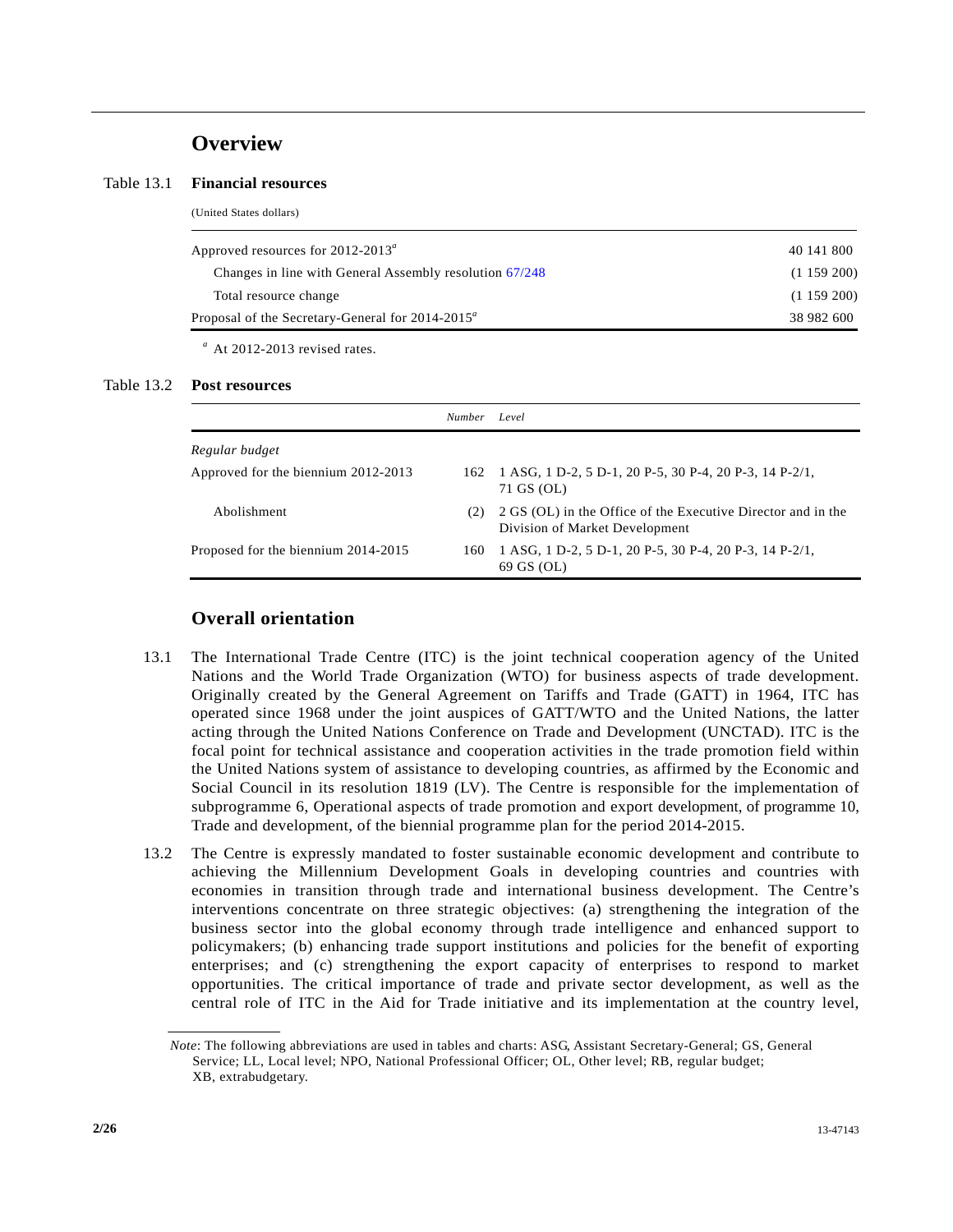## **Overview**

(United States dollars)

#### Table 13.1 **Financial resources**

| 40 141 800 |
|------------|
| (1159200)  |
| (1159200)  |
| 38 982 600 |
|            |

*a* At 2012-2013 revised rates.

#### Table 13.2 **Post resources**

|                                     | <i>Number</i> | Level                                                                                          |
|-------------------------------------|---------------|------------------------------------------------------------------------------------------------|
| Regular budget                      |               |                                                                                                |
| Approved for the biennium 2012-2013 |               | 162 1 ASG, 1 D-2, 5 D-1, 20 P-5, 30 P-4, 20 P-3, 14 P-2/1,<br>71 GS (OL)                       |
| Abolishment                         | (2)           | 2 GS (OL) in the Office of the Executive Director and in the<br>Division of Market Development |
| Proposed for the biennium 2014-2015 | 160           | 1 ASG, 1 D-2, 5 D-1, 20 P-5, 30 P-4, 20 P-3, 14 P-2/1,<br>69 GS (OL)                           |

### **Overall orientation**

- 13.1 The International Trade Centre (ITC) is the joint technical cooperation agency of the United Nations and the World Trade Organization (WTO) for business aspects of trade development. Originally created by the General Agreement on Tariffs and Trade (GATT) in 1964, ITC has operated since 1968 under the joint auspices of GATT/WTO and the United Nations, the latter acting through the United Nations Conference on Trade and Development (UNCTAD). ITC is the focal point for technical assistance and cooperation activities in the trade promotion field within the United Nations system of assistance to developing countries, as affirmed by the Economic and Social Council in its resolution 1819 (LV). The Centre is responsible for the implementation of subprogramme 6, Operational aspects of trade promotion and export development, of programme 10, Trade and development, of the biennial programme plan for the period 2014-2015.
- 13.2 The Centre is expressly mandated to foster sustainable economic development and contribute to achieving the Millennium Development Goals in developing countries and countries with economies in transition through trade and international business development. The Centre's interventions concentrate on three strategic objectives: (a) strengthening the integration of the business sector into the global economy through trade intelligence and enhanced support to policymakers; (b) enhancing trade support institutions and policies for the benefit of exporting enterprises; and (c) strengthening the export capacity of enterprises to respond to market opportunities. The critical importance of trade and private sector development, as well as the central role of ITC in the Aid for Trade initiative and its implementation at the country level,

*Note*: The following abbreviations are used in tables and charts: ASG, Assistant Secretary-General; GS, General Service; LL, Local level; NPO, National Professional Officer; OL, Other level; RB, regular budget; XB, extrabudgetary.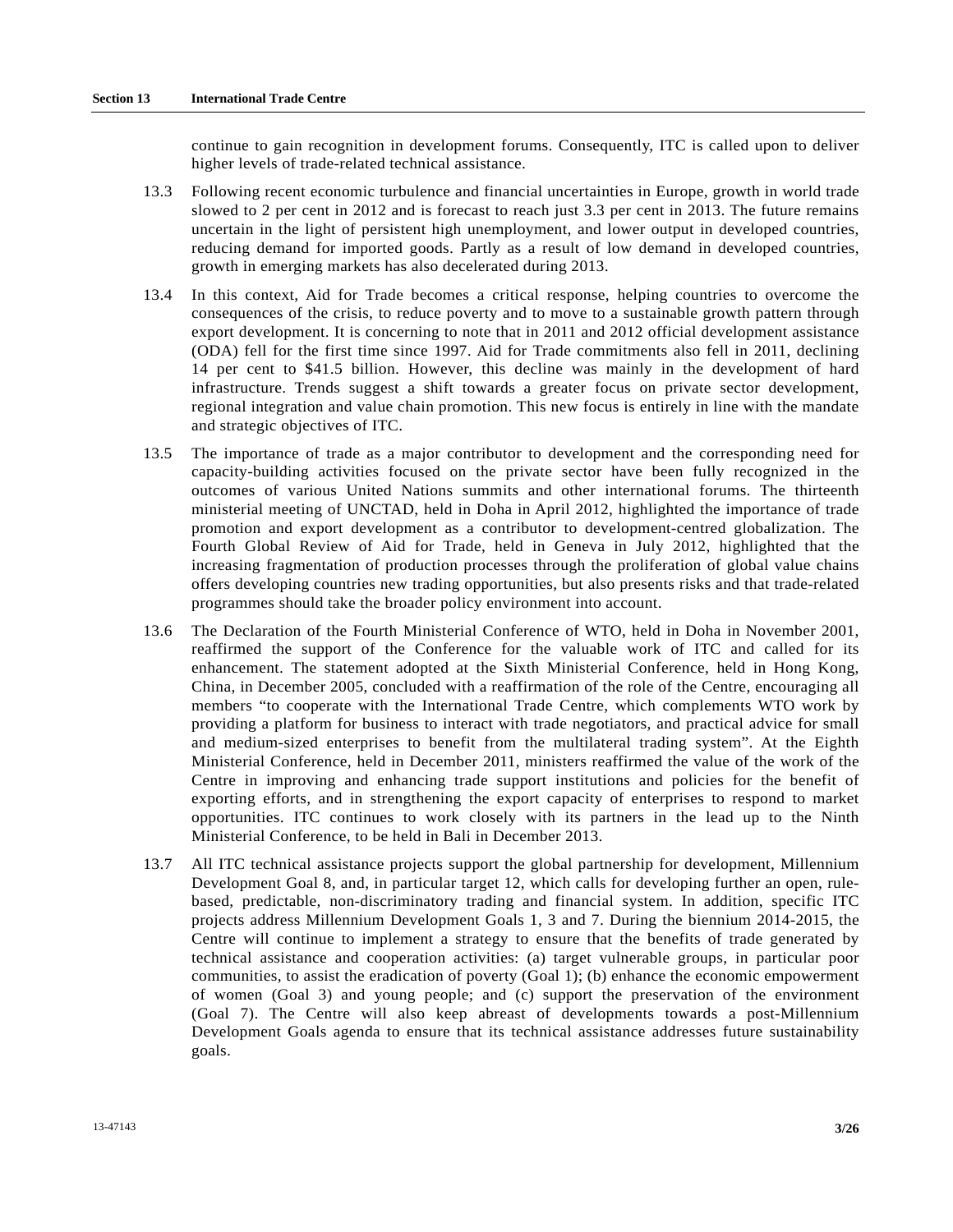continue to gain recognition in development forums. Consequently, ITC is called upon to deliver higher levels of trade-related technical assistance.

- 13.3 Following recent economic turbulence and financial uncertainties in Europe, growth in world trade slowed to 2 per cent in 2012 and is forecast to reach just 3.3 per cent in 2013. The future remains uncertain in the light of persistent high unemployment, and lower output in developed countries, reducing demand for imported goods. Partly as a result of low demand in developed countries, growth in emerging markets has also decelerated during 2013.
- 13.4 In this context, Aid for Trade becomes a critical response, helping countries to overcome the consequences of the crisis, to reduce poverty and to move to a sustainable growth pattern through export development. It is concerning to note that in 2011 and 2012 official development assistance (ODA) fell for the first time since 1997. Aid for Trade commitments also fell in 2011, declining 14 per cent to \$41.5 billion. However, this decline was mainly in the development of hard infrastructure. Trends suggest a shift towards a greater focus on private sector development, regional integration and value chain promotion. This new focus is entirely in line with the mandate and strategic objectives of ITC.
- 13.5 The importance of trade as a major contributor to development and the corresponding need for capacity-building activities focused on the private sector have been fully recognized in the outcomes of various United Nations summits and other international forums. The thirteenth ministerial meeting of UNCTAD, held in Doha in April 2012, highlighted the importance of trade promotion and export development as a contributor to development-centred globalization. The Fourth Global Review of Aid for Trade, held in Geneva in July 2012, highlighted that the increasing fragmentation of production processes through the proliferation of global value chains offers developing countries new trading opportunities, but also presents risks and that trade-related programmes should take the broader policy environment into account.
- 13.6 The Declaration of the Fourth Ministerial Conference of WTO, held in Doha in November 2001, reaffirmed the support of the Conference for the valuable work of ITC and called for its enhancement. The statement adopted at the Sixth Ministerial Conference, held in Hong Kong, China, in December 2005, concluded with a reaffirmation of the role of the Centre, encouraging all members "to cooperate with the International Trade Centre, which complements WTO work by providing a platform for business to interact with trade negotiators, and practical advice for small and medium-sized enterprises to benefit from the multilateral trading system". At the Eighth Ministerial Conference, held in December 2011, ministers reaffirmed the value of the work of the Centre in improving and enhancing trade support institutions and policies for the benefit of exporting efforts, and in strengthening the export capacity of enterprises to respond to market opportunities. ITC continues to work closely with its partners in the lead up to the Ninth Ministerial Conference, to be held in Bali in December 2013.
- 13.7 All ITC technical assistance projects support the global partnership for development, Millennium Development Goal 8, and, in particular target 12, which calls for developing further an open, rulebased, predictable, non-discriminatory trading and financial system. In addition, specific ITC projects address Millennium Development Goals 1, 3 and 7. During the biennium 2014-2015, the Centre will continue to implement a strategy to ensure that the benefits of trade generated by technical assistance and cooperation activities: (a) target vulnerable groups, in particular poor communities, to assist the eradication of poverty (Goal 1); (b) enhance the economic empowerment of women (Goal 3) and young people; and (c) support the preservation of the environment (Goal 7). The Centre will also keep abreast of developments towards a post-Millennium Development Goals agenda to ensure that its technical assistance addresses future sustainability goals.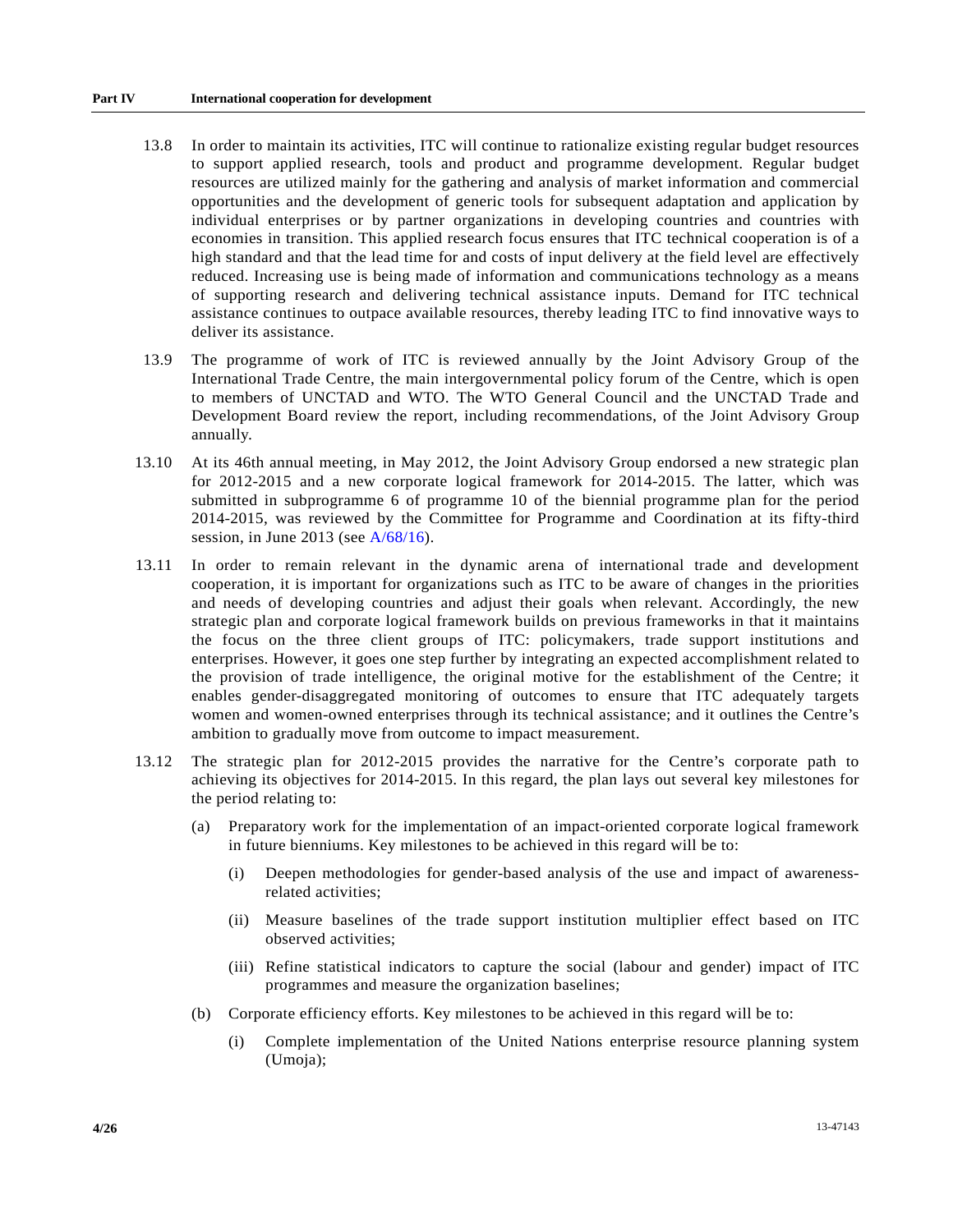- 13.8 In order to maintain its activities, ITC will continue to rationalize existing regular budget resources to support applied research, tools and product and programme development. Regular budget resources are utilized mainly for the gathering and analysis of market information and commercial opportunities and the development of generic tools for subsequent adaptation and application by individual enterprises or by partner organizations in developing countries and countries with economies in transition. This applied research focus ensures that ITC technical cooperation is of a high standard and that the lead time for and costs of input delivery at the field level are effectively reduced. Increasing use is being made of information and communications technology as a means of supporting research and delivering technical assistance inputs. Demand for ITC technical assistance continues to outpace available resources, thereby leading ITC to find innovative ways to deliver its assistance.
- 13.9 The programme of work of ITC is reviewed annually by the Joint Advisory Group of the International Trade Centre, the main intergovernmental policy forum of the Centre, which is open to members of UNCTAD and WTO. The WTO General Council and the UNCTAD Trade and Development Board review the report, including recommendations, of the Joint Advisory Group annually.
- 13.10 At its 46th annual meeting, in May 2012, the Joint Advisory Group endorsed a new strategic plan for 2012-2015 and a new corporate logical framework for 2014-2015. The latter, which was submitted in subprogramme 6 of programme 10 of the biennial programme plan for the period 2014-2015, was reviewed by the Committee for Programme and Coordination at its fifty-third session, in June 2013 (see [A/68/16\)](http://undocs.org/A/68/16).
- 13.11 In order to remain relevant in the dynamic arena of international trade and development cooperation, it is important for organizations such as ITC to be aware of changes in the priorities and needs of developing countries and adjust their goals when relevant. Accordingly, the new strategic plan and corporate logical framework builds on previous frameworks in that it maintains the focus on the three client groups of ITC: policymakers, trade support institutions and enterprises. However, it goes one step further by integrating an expected accomplishment related to the provision of trade intelligence, the original motive for the establishment of the Centre; it enables gender-disaggregated monitoring of outcomes to ensure that ITC adequately targets women and women-owned enterprises through its technical assistance; and it outlines the Centre's ambition to gradually move from outcome to impact measurement.
- 13.12 The strategic plan for 2012-2015 provides the narrative for the Centre's corporate path to achieving its objectives for 2014-2015. In this regard, the plan lays out several key milestones for the period relating to:
	- (a) Preparatory work for the implementation of an impact-oriented corporate logical framework in future bienniums. Key milestones to be achieved in this regard will be to:
		- (i) Deepen methodologies for gender-based analysis of the use and impact of awarenessrelated activities;
		- (ii) Measure baselines of the trade support institution multiplier effect based on ITC observed activities;
		- (iii) Refine statistical indicators to capture the social (labour and gender) impact of ITC programmes and measure the organization baselines;
	- (b) Corporate efficiency efforts. Key milestones to be achieved in this regard will be to:
		- (i) Complete implementation of the United Nations enterprise resource planning system (Umoja);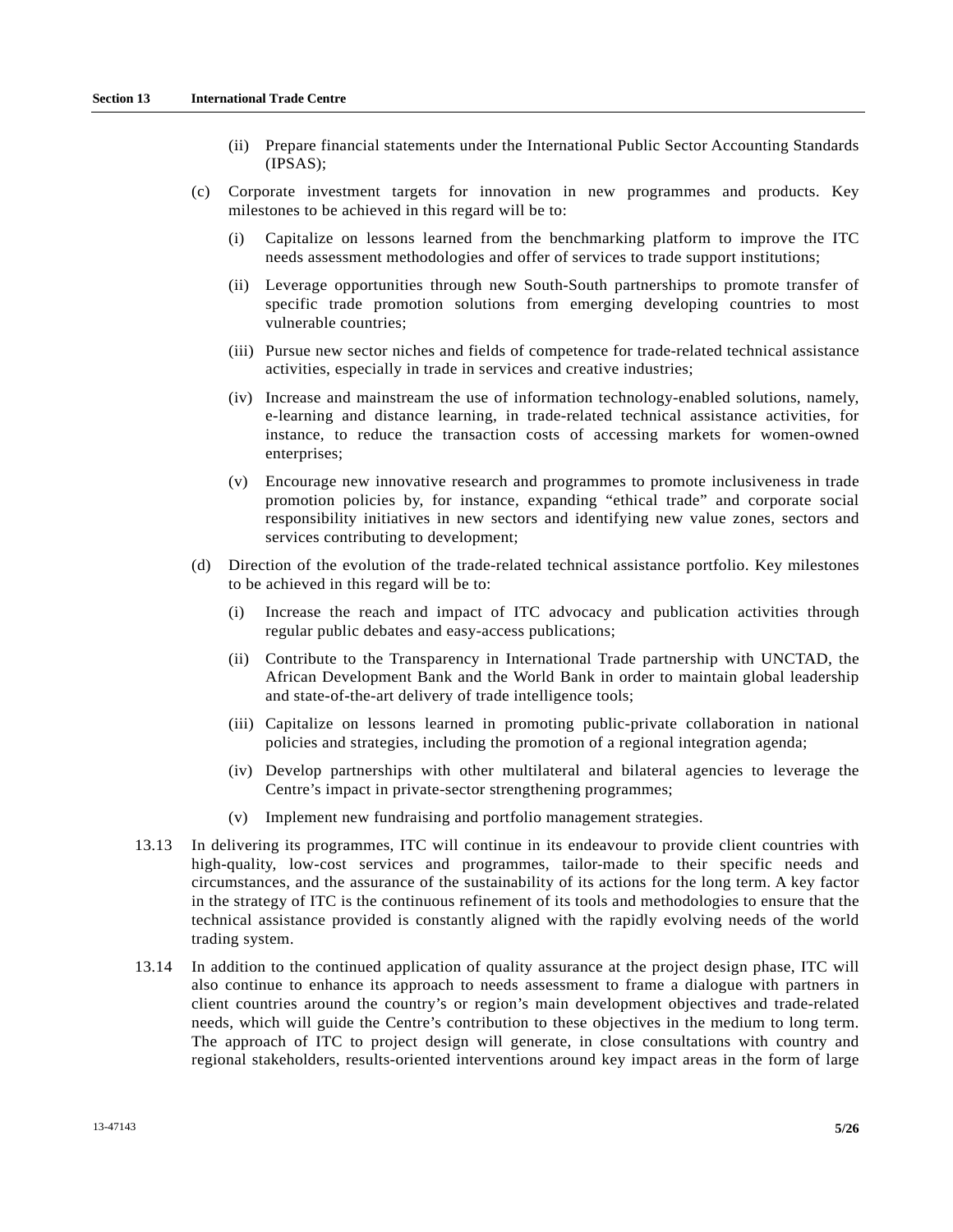- (ii) Prepare financial statements under the International Public Sector Accounting Standards (IPSAS);
- (c) Corporate investment targets for innovation in new programmes and products. Key milestones to be achieved in this regard will be to:
	- (i) Capitalize on lessons learned from the benchmarking platform to improve the ITC needs assessment methodologies and offer of services to trade support institutions;
	- (ii) Leverage opportunities through new South-South partnerships to promote transfer of specific trade promotion solutions from emerging developing countries to most vulnerable countries;
	- (iii) Pursue new sector niches and fields of competence for trade-related technical assistance activities, especially in trade in services and creative industries;
	- (iv) Increase and mainstream the use of information technology-enabled solutions, namely, e-learning and distance learning, in trade-related technical assistance activities, for instance, to reduce the transaction costs of accessing markets for women-owned enterprises;
	- (v) Encourage new innovative research and programmes to promote inclusiveness in trade promotion policies by, for instance, expanding "ethical trade" and corporate social responsibility initiatives in new sectors and identifying new value zones, sectors and services contributing to development;
- (d) Direction of the evolution of the trade-related technical assistance portfolio. Key milestones to be achieved in this regard will be to:
	- (i) Increase the reach and impact of ITC advocacy and publication activities through regular public debates and easy-access publications;
	- (ii) Contribute to the Transparency in International Trade partnership with UNCTAD, the African Development Bank and the World Bank in order to maintain global leadership and state-of-the-art delivery of trade intelligence tools;
	- (iii) Capitalize on lessons learned in promoting public-private collaboration in national policies and strategies, including the promotion of a regional integration agenda;
	- (iv) Develop partnerships with other multilateral and bilateral agencies to leverage the Centre's impact in private-sector strengthening programmes;
	- (v) Implement new fundraising and portfolio management strategies.
- 13.13 In delivering its programmes, ITC will continue in its endeavour to provide client countries with high-quality, low-cost services and programmes, tailor-made to their specific needs and circumstances, and the assurance of the sustainability of its actions for the long term. A key factor in the strategy of ITC is the continuous refinement of its tools and methodologies to ensure that the technical assistance provided is constantly aligned with the rapidly evolving needs of the world trading system.
- 13.14 In addition to the continued application of quality assurance at the project design phase, ITC will also continue to enhance its approach to needs assessment to frame a dialogue with partners in client countries around the country's or region's main development objectives and trade-related needs, which will guide the Centre's contribution to these objectives in the medium to long term. The approach of ITC to project design will generate, in close consultations with country and regional stakeholders, results-oriented interventions around key impact areas in the form of large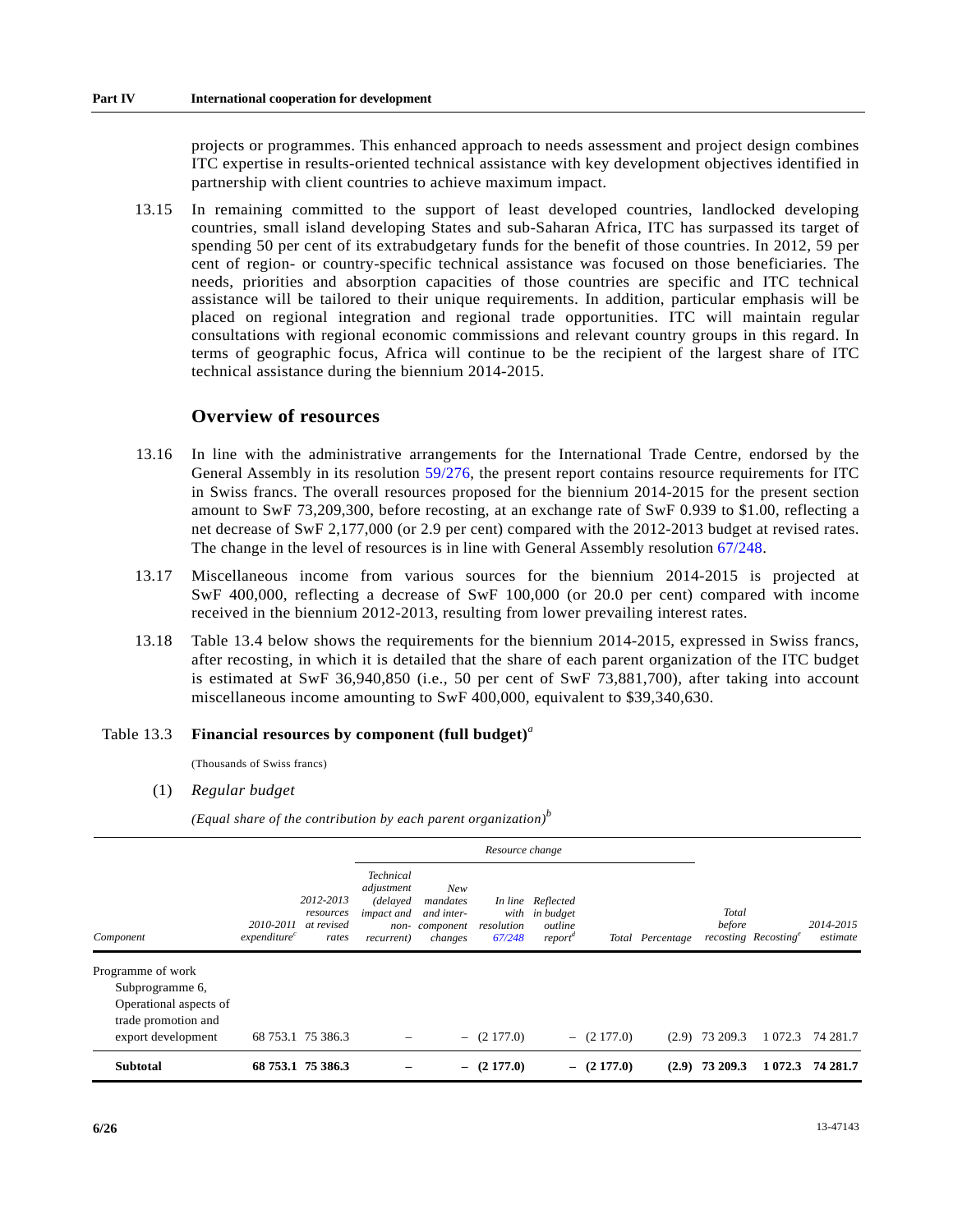projects or programmes. This enhanced approach to needs assessment and project design combines ITC expertise in results-oriented technical assistance with key development objectives identified in partnership with client countries to achieve maximum impact.

 13.15 In remaining committed to the support of least developed countries, landlocked developing countries, small island developing States and sub-Saharan Africa, ITC has surpassed its target of spending 50 per cent of its extrabudgetary funds for the benefit of those countries. In 2012, 59 per cent of region- or country-specific technical assistance was focused on those beneficiaries. The needs, priorities and absorption capacities of those countries are specific and ITC technical assistance will be tailored to their unique requirements. In addition, particular emphasis will be placed on regional integration and regional trade opportunities. ITC will maintain regular consultations with regional economic commissions and relevant country groups in this regard. In terms of geographic focus, Africa will continue to be the recipient of the largest share of ITC technical assistance during the biennium 2014-2015.

### **Overview of resources**

- 13.16 In line with the administrative arrangements for the International Trade Centre, endorsed by the General Assembly in its resolution [59/276](http://undocs.org/A/RES/59/276), the present report contains resource requirements for ITC in Swiss francs. The overall resources proposed for the biennium 2014-2015 for the present section amount to SwF 73,209,300, before recosting, at an exchange rate of SwF 0.939 to \$1.00, reflecting a net decrease of SwF 2,177,000 (or 2.9 per cent) compared with the 2012-2013 budget at revised rates. The change in the level of resources is in line with General Assembly resolution [67/248](http://undocs.org/A/RES/67/248).
- 13.17 Miscellaneous income from various sources for the biennium 2014-2015 is projected at SwF 400,000, reflecting a decrease of SwF 100,000 (or 20.0 per cent) compared with income received in the biennium 2012-2013, resulting from lower prevailing interest rates.
- 13.18 Table 13.4 below shows the requirements for the biennium 2014-2015, expressed in Swiss francs, after recosting, in which it is detailed that the share of each parent organization of the ITC budget is estimated at SwF 36,940,850 (i.e., 50 per cent of SwF 73,881,700), after taking into account miscellaneous income amounting to SwF 400,000, equivalent to \$39,340,630.

#### Table 13.3 **Financial resources by component (full budget)***<sup>a</sup>*

(Thousands of Swiss francs)

(1) *Regular budget*

*(Equal share of the contribution by each parent organization)<sup>b</sup>*

|                                           |                                       |                                               |                                                                                       |                                                       | Resource change              |                                                                  |               |                  |                  |                                  |                       |
|-------------------------------------------|---------------------------------------|-----------------------------------------------|---------------------------------------------------------------------------------------|-------------------------------------------------------|------------------------------|------------------------------------------------------------------|---------------|------------------|------------------|----------------------------------|-----------------------|
| Component                                 | 2010-2011<br>expenditure <sup>c</sup> | 2012-2013<br>resources<br>at revised<br>rates | <b>Technical</b><br>adjustment<br>(delayed<br><i>impact and</i><br>non-<br>recurrent) | New<br>mandates<br>and inter-<br>component<br>changes | with<br>resolution<br>67/248 | In line Reflected<br>in budget<br>outline<br>report <sup>a</sup> |               | Total Percentage | Total<br>before  | recosting Recosting <sup>e</sup> | 2014-2015<br>estimate |
| Programme of work                         |                                       |                                               |                                                                                       |                                                       |                              |                                                                  |               |                  |                  |                                  |                       |
| Subprogramme 6,                           |                                       |                                               |                                                                                       |                                                       |                              |                                                                  |               |                  |                  |                                  |                       |
| Operational aspects of                    |                                       |                                               |                                                                                       |                                                       |                              |                                                                  |               |                  |                  |                                  |                       |
| trade promotion and<br>export development |                                       | 68 753.1 75 386.3                             |                                                                                       |                                                       | $-$ (2 177.0)                |                                                                  | $-$ (2 177.0) |                  | $(2.9)$ 73 209.3 | 1 0 7 2 . 3                      | 74 281.7              |
| <b>Subtotal</b>                           |                                       | 68 753.1 75 386.3                             |                                                                                       | $\overline{\phantom{0}}$                              | (2177.0)                     |                                                                  | $-$ (2 177.0) |                  | $(2.9)$ 73 209.3 | 1 0 7 2 . 3                      | 74 281.7              |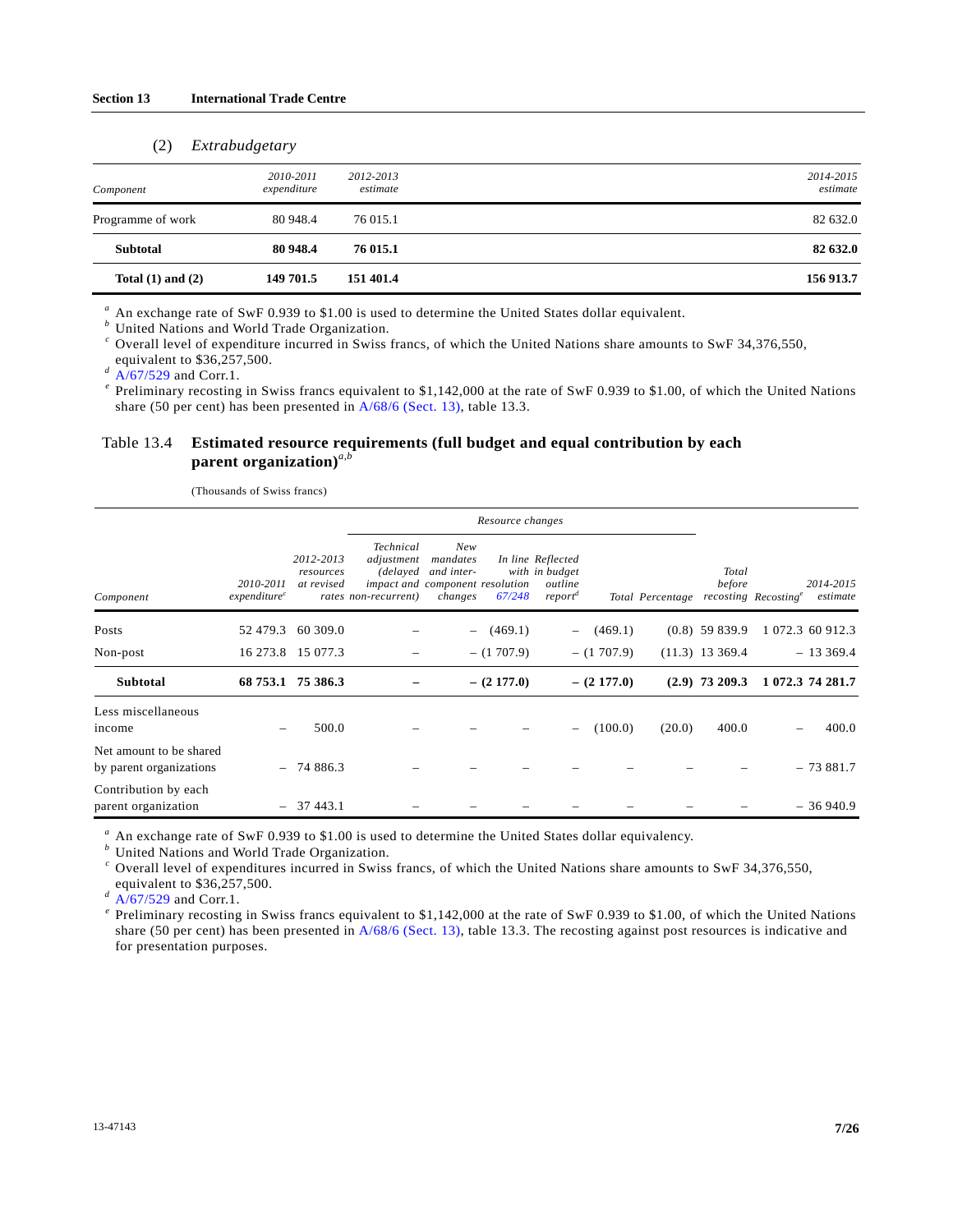#### (2) *Extrabudgetary*

| Component             | 2010-2011<br>expenditure | 2012-2013<br>estimate | 2014-2015<br>estimate |
|-----------------------|--------------------------|-----------------------|-----------------------|
| Programme of work     | 80 948.4                 | 76 015.1              | 82 632.0              |
| <b>Subtotal</b>       | 80 948.4                 | 76 015.1              | 82 632.0              |
| Total $(1)$ and $(2)$ | 149 701.5                | 151 401.4             | 156 913.7             |

<sup>a</sup> An exchange rate of SwF 0.939 to \$1.00 is used to determine the United States dollar equivalent.

 $b$  United Nations and World Trade Organization.

<sup>*c*</sup> Overall level of expenditure incurred in Swiss francs, of which the United Nations share amounts to SwF 34,376,550, equivalent to \$36,257,500.<br>
<sup>d</sup> A/67/529 and Corr.1.

<sup>e</sup> Preliminary recosting in Swiss francs equivalent to \$1,142,000 at the rate of SwF 0.939 to \$1.00, of which the United Nations share (50 per cent) has been presented in [A/68/6 \(Sect. 13\)](http://undocs.org/A/68/6(Sect.13)), table 13.3.

#### Table 13.4 **Estimated resource requirements (full budget and equal contribution by each parent organization)***a,b*

(Thousands of Swiss francs)

|                                                    |                                       |                                      | Resource changes                                             |                                                                             |               |                                                                       |               |                  |                        |                                                           |  |
|----------------------------------------------------|---------------------------------------|--------------------------------------|--------------------------------------------------------------|-----------------------------------------------------------------------------|---------------|-----------------------------------------------------------------------|---------------|------------------|------------------------|-----------------------------------------------------------|--|
| Component                                          | 2010-2011<br>expenditure <sup>c</sup> | 2012-2013<br>resources<br>at revised | Technical<br>adjustment<br>(delayed)<br>rates non-recurrent) | New<br>mandates<br>and inter-<br>impact and component resolution<br>changes | 67/248        | In line Reflected<br>with in budget<br>outline<br>report <sup>d</sup> |               | Total Percentage | <b>Total</b><br>before | 2014-2015<br>recosting Recosting <sup>e</sup><br>estimate |  |
| Posts                                              | 52 479.3                              | 60 309.0                             |                                                              | $-$                                                                         | (469.1)       | $-$                                                                   | (469.1)       |                  | $(0.8)$ 59 839.9       | 1 072.3 60 912.3                                          |  |
| Non-post                                           | 16 273.8                              | 15 077.3                             |                                                              |                                                                             | $- (1707.9)$  |                                                                       | $- (1707.9)$  |                  | $(11.3)$ 13 369.4      | $-13369.4$                                                |  |
| <b>Subtotal</b>                                    |                                       | 68 753.1 75 386.3                    |                                                              |                                                                             | $-$ (2 177.0) |                                                                       | $-$ (2 177.0) |                  | $(2.9)$ 73 209.3       | 1 072.3 74 281.7                                          |  |
| Less miscellaneous<br>income                       |                                       | 500.0                                |                                                              |                                                                             |               |                                                                       | (100.0)       | (20.0)           | 400.0                  | 400.0                                                     |  |
| Net amount to be shared<br>by parent organizations |                                       | $-74886.3$                           |                                                              |                                                                             |               |                                                                       |               |                  |                        | $-73881.7$                                                |  |
| Contribution by each<br>parent organization        |                                       | $-37443.1$                           |                                                              |                                                                             |               |                                                                       |               |                  |                        | $-36940.9$                                                |  |

<sup>a</sup> An exchange rate of SwF 0.939 to \$1.00 is used to determine the United States dollar equivalency.

 $\overset{b}{ }$  United Nations and World Trade Organization.

<sup>c</sup> Overall level of expenditures incurred in Swiss francs, of which the United Nations share amounts to SwF 34,376,550,

equivalent to \$36,257,500. *<sup>d</sup>* [A/67/529](http://undocs.org/A/67/529) and Corr.1. *<sup>e</sup>*

 $^e$  Preliminary recosting in Swiss francs equivalent to \$1,142,000 at the rate of SwF 0.939 to \$1.00, of which the United Nations share (50 per cent) has been presented in [A/68/6 \(Sect. 13\)](http://undocs.org/A/68/6(Sect.13)), table 13.3. The recosting against post resources is indicative and for presentation purposes.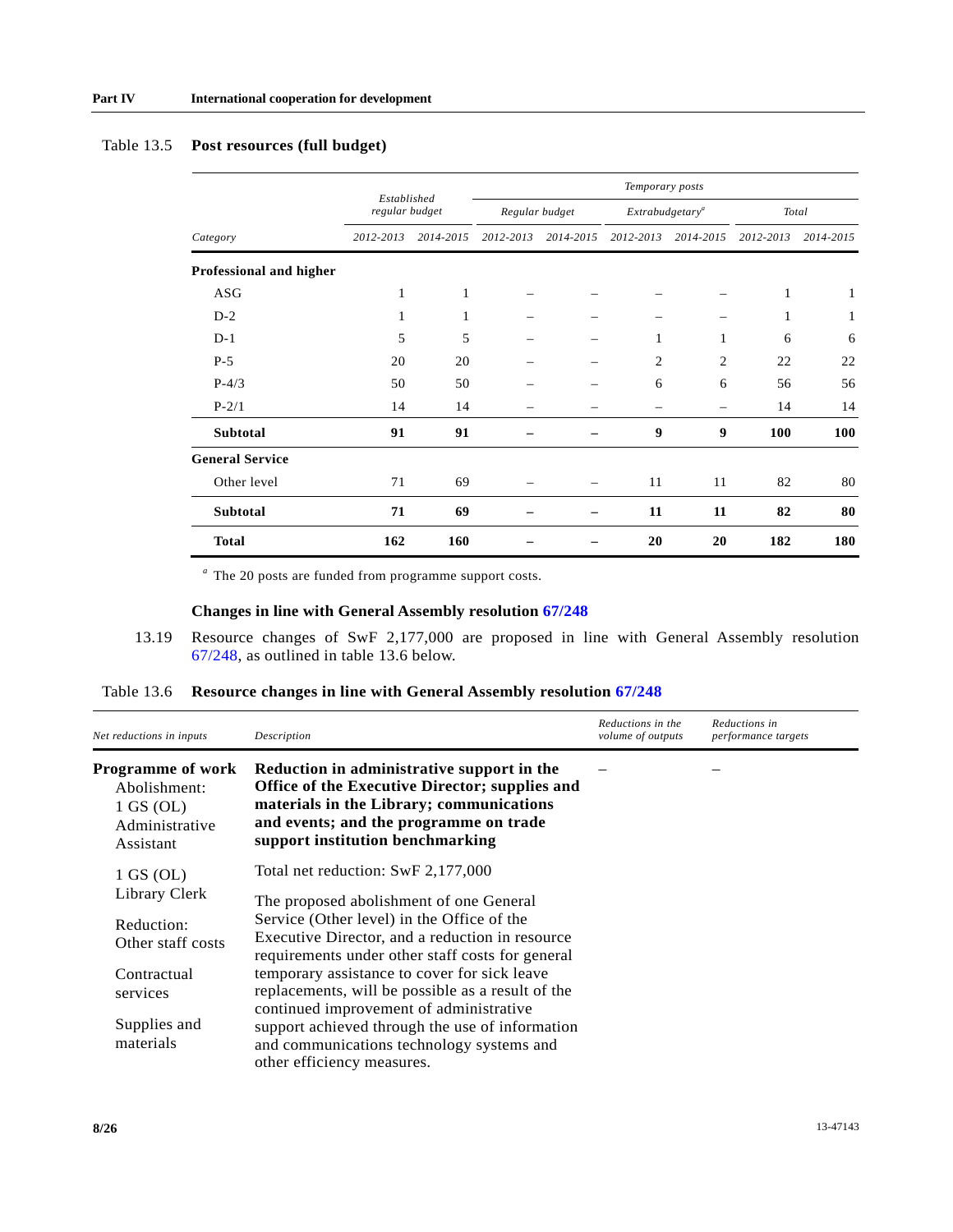|                         | Established<br>regular budget |           | Temporary posts |           |                             |                          |           |           |  |
|-------------------------|-------------------------------|-----------|-----------------|-----------|-----------------------------|--------------------------|-----------|-----------|--|
|                         |                               |           | Regular budget  |           | Extrabudgetary <sup>a</sup> |                          | Total     |           |  |
| Category                | 2012-2013                     | 2014-2015 | 2012-2013       | 2014-2015 | 2012-2013                   | 2014-2015                | 2012-2013 | 2014-2015 |  |
| Professional and higher |                               |           |                 |           |                             |                          |           |           |  |
| ASG                     | $\mathbf{1}$                  | 1         |                 |           |                             |                          | 1         | 1         |  |
| $D-2$                   | $\mathbf{1}$                  | 1         |                 |           |                             |                          | 1         | 1         |  |
| $D-1$                   | 5                             | 5         |                 | -         | $\mathbf{1}$                | 1                        | 6         | 6         |  |
| $P-5$                   | 20                            | 20        |                 | -         | 2                           | $\overline{c}$           | 22        | 22        |  |
| $P-4/3$                 | 50                            | 50        |                 |           | 6                           | 6                        | 56        | 56        |  |
| $P-2/1$                 | 14                            | 14        |                 |           |                             | $\overline{\phantom{0}}$ | 14        | 14        |  |
| <b>Subtotal</b>         | 91                            | 91        |                 |           | 9                           | 9                        | 100       | 100       |  |
| <b>General Service</b>  |                               |           |                 |           |                             |                          |           |           |  |
| Other level             | 71                            | 69        |                 |           | 11                          | 11                       | 82        | 80        |  |
| <b>Subtotal</b>         | 71                            | 69        |                 |           | 11                          | 11                       | 82        | 80        |  |
| <b>Total</b>            | 162                           | 160       |                 |           | 20                          | 20                       | 182       | 180       |  |

### Table 13.5 **Post resources (full budget)**

*a* The 20 posts are funded from programme support costs.

### **Changes in line with General Assembly resolution [67/248](http://undocs.org/A/RES/67/248)**

 13.19 Resource changes of SwF 2,177,000 are proposed in line with General Assembly resolution [67/248,](http://undocs.org/A/RES/67/248) as outlined in table 13.6 below.

### Table 13.6 **Resource changes in line with General Assembly resolution [67/248](http://undocs.org/A/RES/67/248)**

| Net reductions in inputs                                                                                                | Description                                                                                                                                                                                                                                                                                                                                                                                                                                                                                                      | Reductions in the<br>volume of outputs | Reductions in<br>performance targets |
|-------------------------------------------------------------------------------------------------------------------------|------------------------------------------------------------------------------------------------------------------------------------------------------------------------------------------------------------------------------------------------------------------------------------------------------------------------------------------------------------------------------------------------------------------------------------------------------------------------------------------------------------------|----------------------------------------|--------------------------------------|
| <b>Programme of work</b><br>Abolishment:<br>$1$ GS (OL)<br>Administrative<br>Assistant                                  | Reduction in administrative support in the<br><b>Office of the Executive Director; supplies and</b><br>materials in the Library; communications<br>and events; and the programme on trade<br>support institution benchmarking                                                                                                                                                                                                                                                                                    |                                        |                                      |
| $1$ GS (OL)<br>Library Clerk<br>Reduction:<br>Other staff costs<br>Contractual<br>services<br>Supplies and<br>materials | Total net reduction: SwF 2,177,000<br>The proposed abolishment of one General<br>Service (Other level) in the Office of the<br>Executive Director, and a reduction in resource<br>requirements under other staff costs for general<br>temporary assistance to cover for sick leave<br>replacements, will be possible as a result of the<br>continued improvement of administrative<br>support achieved through the use of information<br>and communications technology systems and<br>other efficiency measures. |                                        |                                      |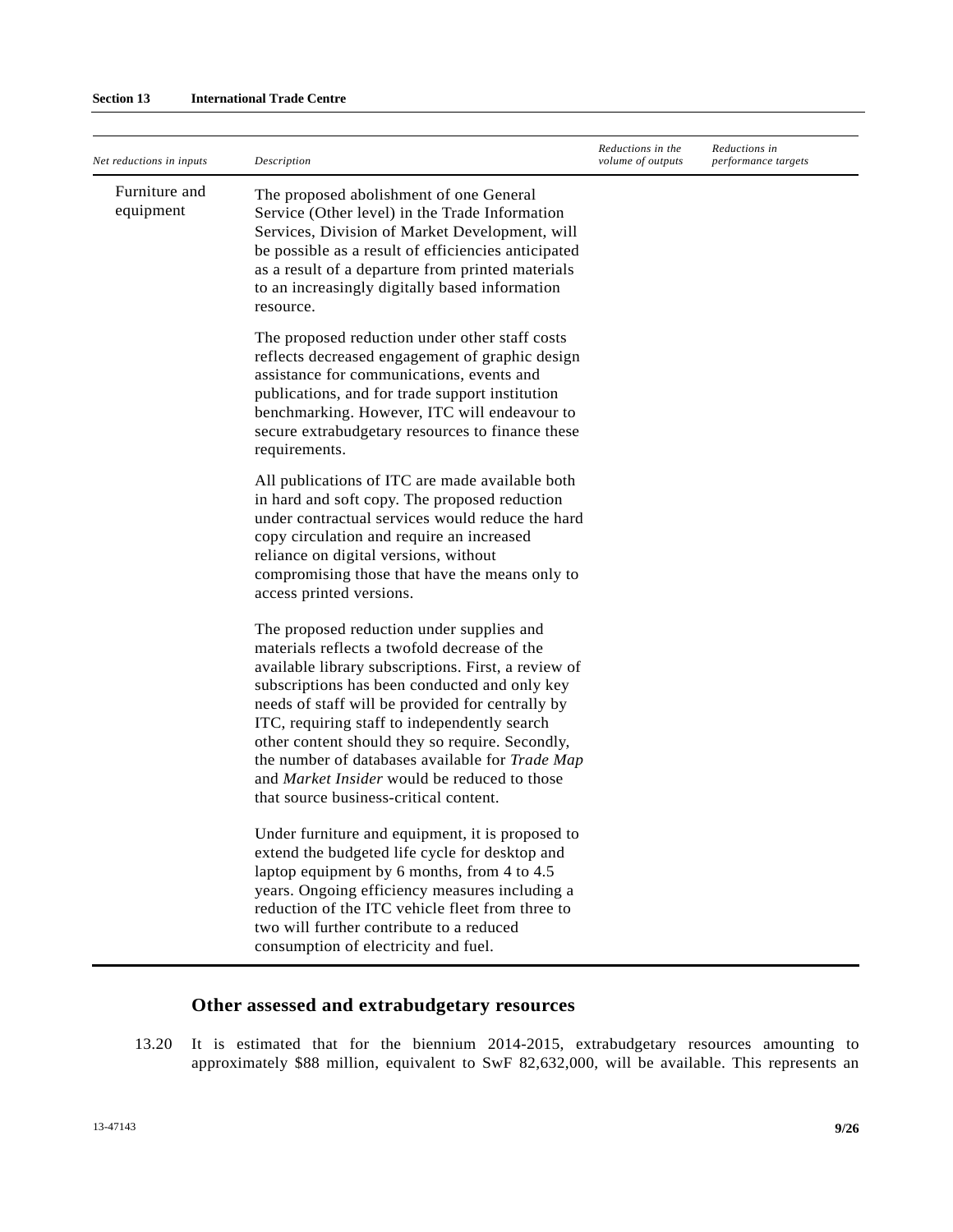| Net reductions in inputs   | Description                                                                                                                                                                                                                                                                                                                                                                                                                                                                                                  | Reductions in the<br>volume of outputs | Reductions in<br>performance targets |
|----------------------------|--------------------------------------------------------------------------------------------------------------------------------------------------------------------------------------------------------------------------------------------------------------------------------------------------------------------------------------------------------------------------------------------------------------------------------------------------------------------------------------------------------------|----------------------------------------|--------------------------------------|
| Furniture and<br>equipment | The proposed abolishment of one General<br>Service (Other level) in the Trade Information<br>Services, Division of Market Development, will<br>be possible as a result of efficiencies anticipated<br>as a result of a departure from printed materials<br>to an increasingly digitally based information<br>resource.                                                                                                                                                                                       |                                        |                                      |
|                            | The proposed reduction under other staff costs<br>reflects decreased engagement of graphic design<br>assistance for communications, events and<br>publications, and for trade support institution<br>benchmarking. However, ITC will endeavour to<br>secure extrabudgetary resources to finance these<br>requirements.                                                                                                                                                                                       |                                        |                                      |
|                            | All publications of ITC are made available both<br>in hard and soft copy. The proposed reduction<br>under contractual services would reduce the hard<br>copy circulation and require an increased<br>reliance on digital versions, without<br>compromising those that have the means only to<br>access printed versions.                                                                                                                                                                                     |                                        |                                      |
|                            | The proposed reduction under supplies and<br>materials reflects a twofold decrease of the<br>available library subscriptions. First, a review of<br>subscriptions has been conducted and only key<br>needs of staff will be provided for centrally by<br>ITC, requiring staff to independently search<br>other content should they so require. Secondly,<br>the number of databases available for Trade Map<br>and <i>Market Insider</i> would be reduced to those<br>that source business-critical content. |                                        |                                      |
|                            | Under furniture and equipment, it is proposed to<br>extend the budgeted life cycle for desktop and<br>laptop equipment by 6 months, from 4 to 4.5<br>years. Ongoing efficiency measures including a<br>reduction of the ITC vehicle fleet from three to<br>two will further contribute to a reduced<br>consumption of electricity and fuel.                                                                                                                                                                  |                                        |                                      |

## **Other assessed and extrabudgetary resources**

 13.20 It is estimated that for the biennium 2014-2015, extrabudgetary resources amounting to approximately \$88 million, equivalent to SwF 82,632,000, will be available. This represents an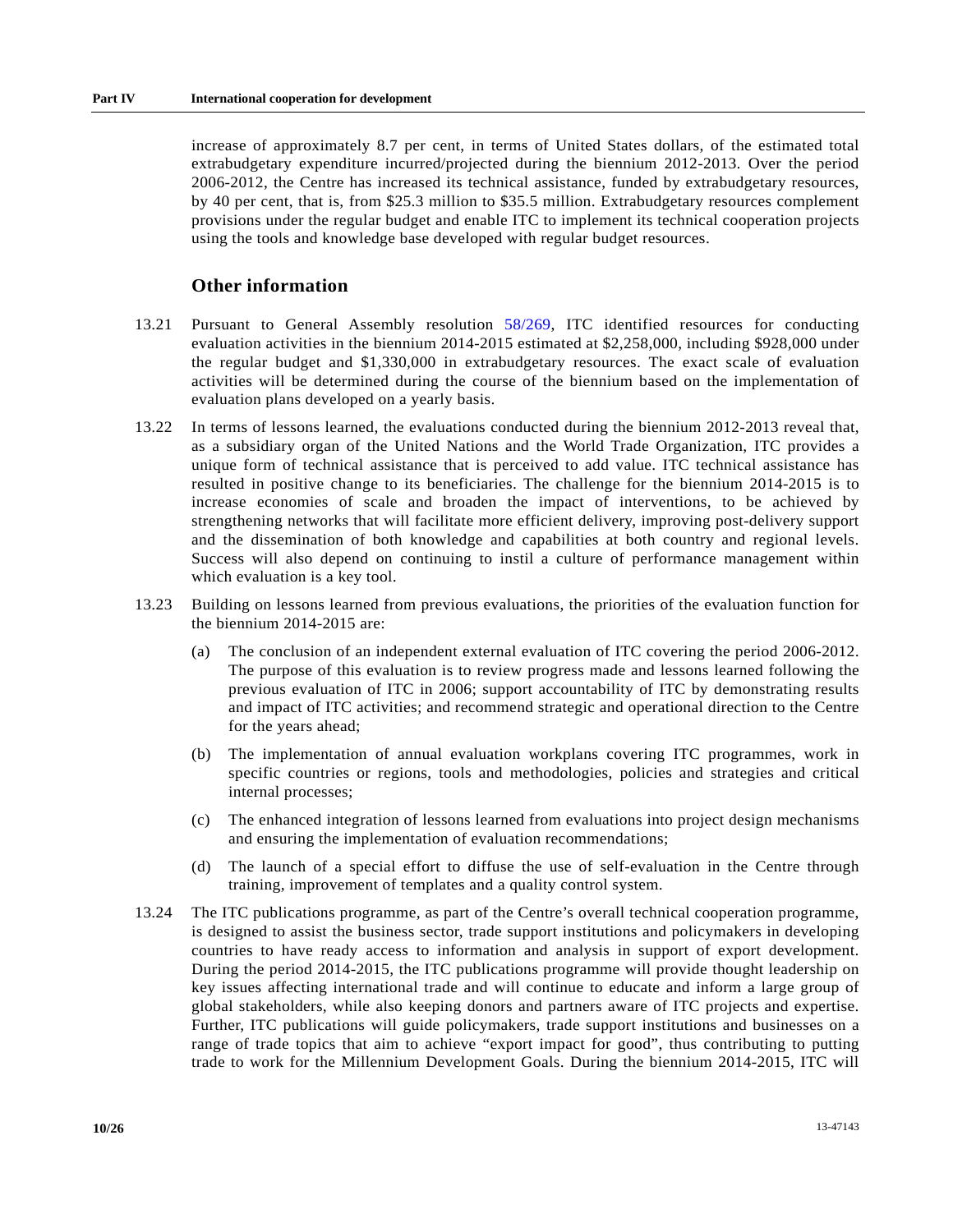increase of approximately 8.7 per cent, in terms of United States dollars, of the estimated total extrabudgetary expenditure incurred/projected during the biennium 2012-2013. Over the period 2006-2012, the Centre has increased its technical assistance, funded by extrabudgetary resources, by 40 per cent, that is, from \$25.3 million to \$35.5 million. Extrabudgetary resources complement provisions under the regular budget and enable ITC to implement its technical cooperation projects using the tools and knowledge base developed with regular budget resources.

### **Other information**

- 13.21 Pursuant to General Assembly resolution [58/269](http://undocs.org/A/RES/58/269), ITC identified resources for conducting evaluation activities in the biennium 2014-2015 estimated at \$2,258,000, including \$928,000 under the regular budget and \$1,330,000 in extrabudgetary resources. The exact scale of evaluation activities will be determined during the course of the biennium based on the implementation of evaluation plans developed on a yearly basis.
- 13.22 In terms of lessons learned, the evaluations conducted during the biennium 2012-2013 reveal that, as a subsidiary organ of the United Nations and the World Trade Organization, ITC provides a unique form of technical assistance that is perceived to add value. ITC technical assistance has resulted in positive change to its beneficiaries. The challenge for the biennium 2014-2015 is to increase economies of scale and broaden the impact of interventions, to be achieved by strengthening networks that will facilitate more efficient delivery, improving post-delivery support and the dissemination of both knowledge and capabilities at both country and regional levels. Success will also depend on continuing to instil a culture of performance management within which evaluation is a key tool.
- 13.23 Building on lessons learned from previous evaluations, the priorities of the evaluation function for the biennium 2014-2015 are:
	- (a) The conclusion of an independent external evaluation of ITC covering the period 2006-2012. The purpose of this evaluation is to review progress made and lessons learned following the previous evaluation of ITC in 2006; support accountability of ITC by demonstrating results and impact of ITC activities; and recommend strategic and operational direction to the Centre for the years ahead;
	- (b) The implementation of annual evaluation workplans covering ITC programmes, work in specific countries or regions, tools and methodologies, policies and strategies and critical internal processes;
	- (c) The enhanced integration of lessons learned from evaluations into project design mechanisms and ensuring the implementation of evaluation recommendations;
	- (d) The launch of a special effort to diffuse the use of self-evaluation in the Centre through training, improvement of templates and a quality control system.
- 13.24 The ITC publications programme, as part of the Centre's overall technical cooperation programme, is designed to assist the business sector, trade support institutions and policymakers in developing countries to have ready access to information and analysis in support of export development. During the period 2014-2015, the ITC publications programme will provide thought leadership on key issues affecting international trade and will continue to educate and inform a large group of global stakeholders, while also keeping donors and partners aware of ITC projects and expertise. Further, ITC publications will guide policymakers, trade support institutions and businesses on a range of trade topics that aim to achieve "export impact for good", thus contributing to putting trade to work for the Millennium Development Goals. During the biennium 2014-2015, ITC will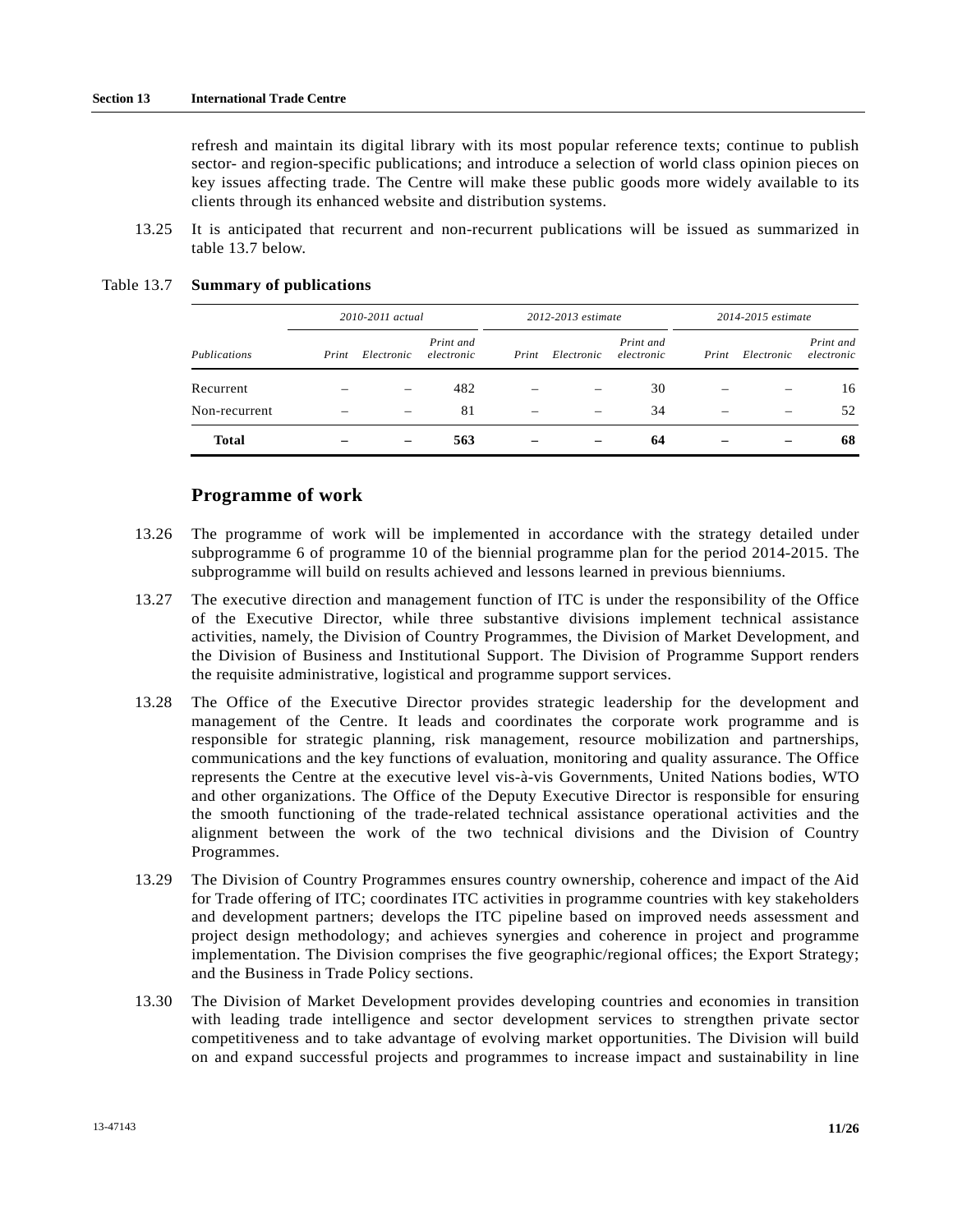refresh and maintain its digital library with its most popular reference texts; continue to publish sector- and region-specific publications; and introduce a selection of world class opinion pieces on key issues affecting trade. The Centre will make these public goods more widely available to its clients through its enhanced website and distribution systems.

 13.25 It is anticipated that recurrent and non-recurrent publications will be issued as summarized in table 13.7 below.

|               |       | 2010-2011 actual         |                         | 2012-2013 estimate |            |                         |       | 2014-2015 estimate |                         |  |
|---------------|-------|--------------------------|-------------------------|--------------------|------------|-------------------------|-------|--------------------|-------------------------|--|
| Publications  | Print | Electronic               | Print and<br>electronic | Print              | Electronic | Print and<br>electronic | Print | Electronic         | Print and<br>electronic |  |
| Recurrent     |       | $\overline{\phantom{a}}$ | 482                     |                    |            | 30                      |       |                    | 16                      |  |
| Non-recurrent |       | $\overline{\phantom{a}}$ | 81                      | -                  | -          | 34                      | -     | -                  | 52                      |  |
| <b>Total</b>  |       |                          | 563                     |                    |            | 64                      |       |                    | 68                      |  |

#### Table 13.7 **Summary of publications**

### **Programme of work**

- 13.26 The programme of work will be implemented in accordance with the strategy detailed under subprogramme 6 of programme 10 of the biennial programme plan for the period 2014-2015. The subprogramme will build on results achieved and lessons learned in previous bienniums.
- 13.27 The executive direction and management function of ITC is under the responsibility of the Office of the Executive Director, while three substantive divisions implement technical assistance activities, namely, the Division of Country Programmes, the Division of Market Development, and the Division of Business and Institutional Support. The Division of Programme Support renders the requisite administrative, logistical and programme support services.
- 13.28 The Office of the Executive Director provides strategic leadership for the development and management of the Centre. It leads and coordinates the corporate work programme and is responsible for strategic planning, risk management, resource mobilization and partnerships, communications and the key functions of evaluation, monitoring and quality assurance. The Office represents the Centre at the executive level vis-à-vis Governments, United Nations bodies, WTO and other organizations. The Office of the Deputy Executive Director is responsible for ensuring the smooth functioning of the trade-related technical assistance operational activities and the alignment between the work of the two technical divisions and the Division of Country Programmes.
- 13.29 The Division of Country Programmes ensures country ownership, coherence and impact of the Aid for Trade offering of ITC; coordinates ITC activities in programme countries with key stakeholders and development partners; develops the ITC pipeline based on improved needs assessment and project design methodology; and achieves synergies and coherence in project and programme implementation. The Division comprises the five geographic/regional offices; the Export Strategy; and the Business in Trade Policy sections.
- 13.30 The Division of Market Development provides developing countries and economies in transition with leading trade intelligence and sector development services to strengthen private sector competitiveness and to take advantage of evolving market opportunities. The Division will build on and expand successful projects and programmes to increase impact and sustainability in line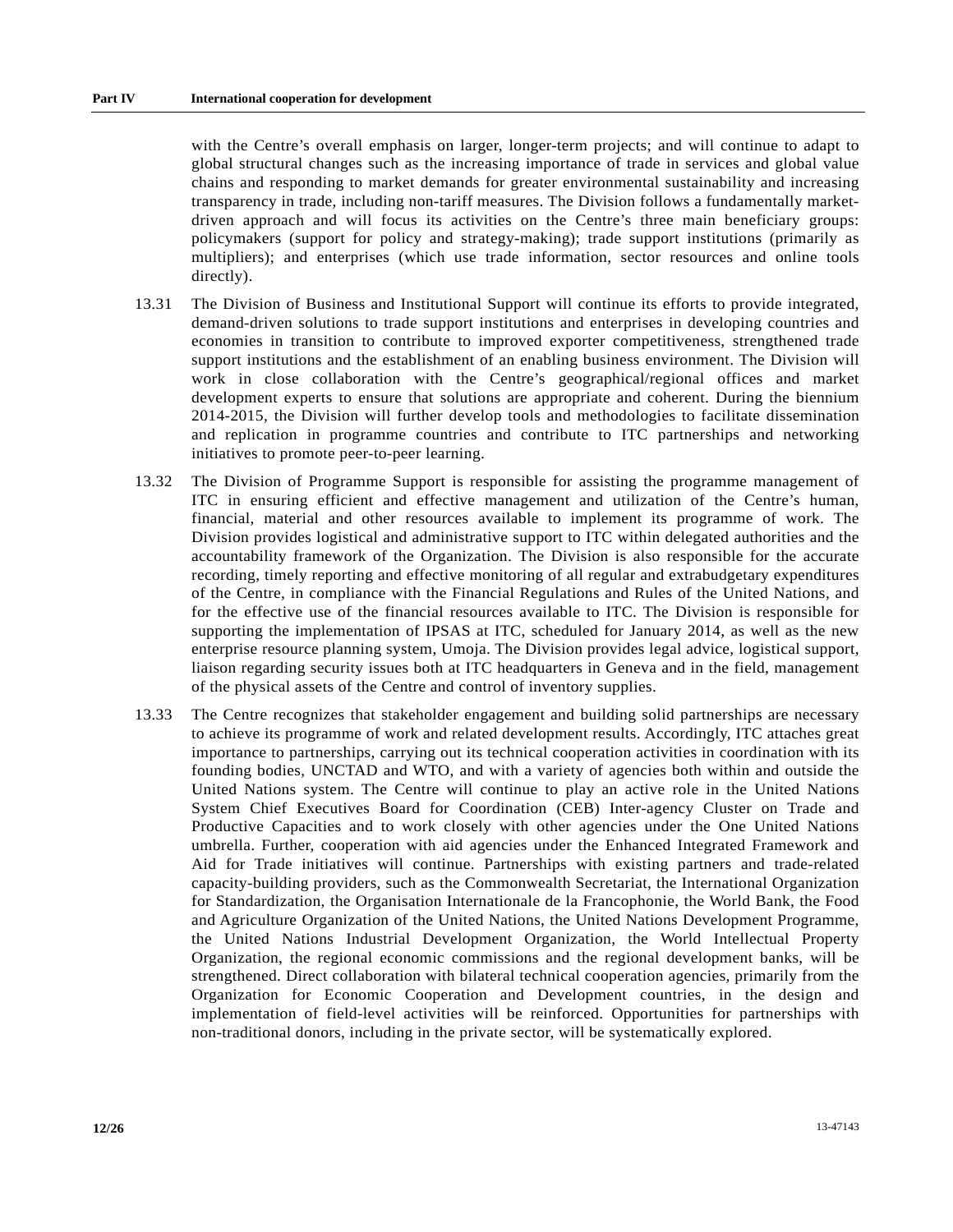with the Centre's overall emphasis on larger, longer-term projects; and will continue to adapt to global structural changes such as the increasing importance of trade in services and global value chains and responding to market demands for greater environmental sustainability and increasing transparency in trade, including non-tariff measures. The Division follows a fundamentally marketdriven approach and will focus its activities on the Centre's three main beneficiary groups: policymakers (support for policy and strategy-making); trade support institutions (primarily as multipliers); and enterprises (which use trade information, sector resources and online tools directly).

- 13.31 The Division of Business and Institutional Support will continue its efforts to provide integrated, demand-driven solutions to trade support institutions and enterprises in developing countries and economies in transition to contribute to improved exporter competitiveness, strengthened trade support institutions and the establishment of an enabling business environment. The Division will work in close collaboration with the Centre's geographical/regional offices and market development experts to ensure that solutions are appropriate and coherent. During the biennium 2014-2015, the Division will further develop tools and methodologies to facilitate dissemination and replication in programme countries and contribute to ITC partnerships and networking initiatives to promote peer-to-peer learning.
- 13.32 The Division of Programme Support is responsible for assisting the programme management of ITC in ensuring efficient and effective management and utilization of the Centre's human, financial, material and other resources available to implement its programme of work. The Division provides logistical and administrative support to ITC within delegated authorities and the accountability framework of the Organization. The Division is also responsible for the accurate recording, timely reporting and effective monitoring of all regular and extrabudgetary expenditures of the Centre, in compliance with the Financial Regulations and Rules of the United Nations, and for the effective use of the financial resources available to ITC. The Division is responsible for supporting the implementation of IPSAS at ITC, scheduled for January 2014, as well as the new enterprise resource planning system, Umoja. The Division provides legal advice, logistical support, liaison regarding security issues both at ITC headquarters in Geneva and in the field, management of the physical assets of the Centre and control of inventory supplies.
- 13.33 The Centre recognizes that stakeholder engagement and building solid partnerships are necessary to achieve its programme of work and related development results. Accordingly, ITC attaches great importance to partnerships, carrying out its technical cooperation activities in coordination with its founding bodies, UNCTAD and WTO, and with a variety of agencies both within and outside the United Nations system. The Centre will continue to play an active role in the United Nations System Chief Executives Board for Coordination (CEB) Inter-agency Cluster on Trade and Productive Capacities and to work closely with other agencies under the One United Nations umbrella. Further, cooperation with aid agencies under the Enhanced Integrated Framework and Aid for Trade initiatives will continue. Partnerships with existing partners and trade-related capacity-building providers, such as the Commonwealth Secretariat, the International Organization for Standardization, the Organisation Internationale de la Francophonie, the World Bank, the Food and Agriculture Organization of the United Nations, the United Nations Development Programme, the United Nations Industrial Development Organization, the World Intellectual Property Organization, the regional economic commissions and the regional development banks, will be strengthened. Direct collaboration with bilateral technical cooperation agencies, primarily from the Organization for Economic Cooperation and Development countries, in the design and implementation of field-level activities will be reinforced. Opportunities for partnerships with non-traditional donors, including in the private sector, will be systematically explored.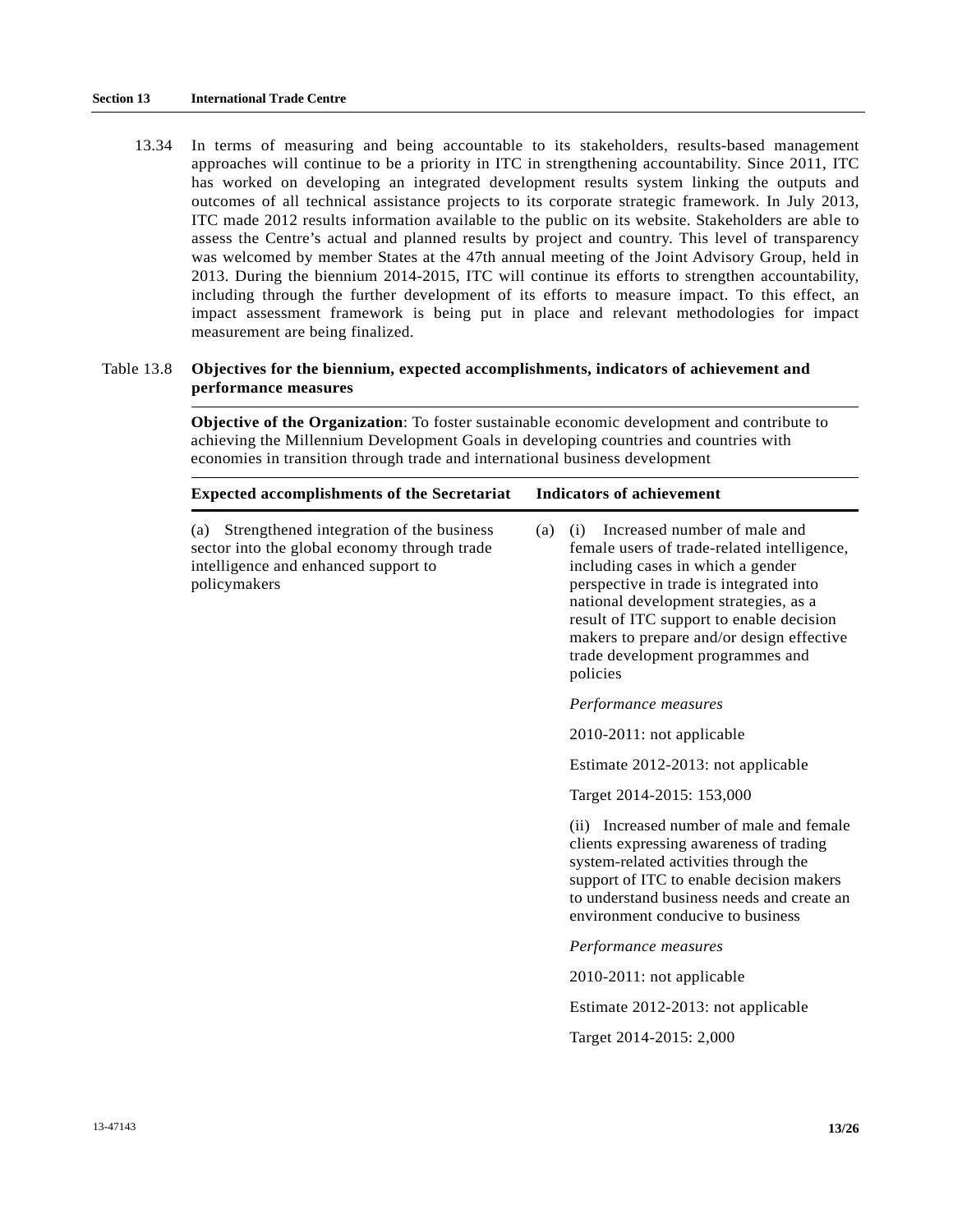13.34 In terms of measuring and being accountable to its stakeholders, results-based management approaches will continue to be a priority in ITC in strengthening accountability. Since 2011, ITC has worked on developing an integrated development results system linking the outputs and outcomes of all technical assistance projects to its corporate strategic framework. In July 2013, ITC made 2012 results information available to the public on its website. Stakeholders are able to assess the Centre's actual and planned results by project and country. This level of transparency was welcomed by member States at the 47th annual meeting of the Joint Advisory Group, held in 2013. During the biennium 2014-2015, ITC will continue its efforts to strengthen accountability, including through the further development of its efforts to measure impact. To this effect, an impact assessment framework is being put in place and relevant methodologies for impact measurement are being finalized.

### Table 13.8 **Objectives for the biennium, expected accomplishments, indicators of achievement and performance measures**

**Objective of the Organization**: To foster sustainable economic development and contribute to achieving the Millennium Development Goals in developing countries and countries with economies in transition through trade and international business development

| <b>Expected accomplishments of the Secretariat</b>                                                                                                   | <b>Indicators of achievement</b>                                                                                                                                                                                                                                                                                                                            |
|------------------------------------------------------------------------------------------------------------------------------------------------------|-------------------------------------------------------------------------------------------------------------------------------------------------------------------------------------------------------------------------------------------------------------------------------------------------------------------------------------------------------------|
| (a) Strengthened integration of the business<br>sector into the global economy through trade<br>intelligence and enhanced support to<br>policymakers | Increased number of male and<br>(i)<br>(a)<br>female users of trade-related intelligence,<br>including cases in which a gender<br>perspective in trade is integrated into<br>national development strategies, as a<br>result of ITC support to enable decision<br>makers to prepare and/or design effective<br>trade development programmes and<br>policies |
|                                                                                                                                                      | Performance measures                                                                                                                                                                                                                                                                                                                                        |
|                                                                                                                                                      | $2010-2011$ : not applicable                                                                                                                                                                                                                                                                                                                                |
|                                                                                                                                                      | Estimate 2012-2013: not applicable                                                                                                                                                                                                                                                                                                                          |
|                                                                                                                                                      | Target 2014-2015: 153,000                                                                                                                                                                                                                                                                                                                                   |
|                                                                                                                                                      | (ii) Increased number of male and female<br>clients expressing awareness of trading<br>system-related activities through the<br>support of ITC to enable decision makers<br>to understand business needs and create an<br>environment conducive to business                                                                                                 |
|                                                                                                                                                      | Performance measures                                                                                                                                                                                                                                                                                                                                        |
|                                                                                                                                                      | 2010-2011: not applicable                                                                                                                                                                                                                                                                                                                                   |
|                                                                                                                                                      | Estimate 2012-2013: not applicable                                                                                                                                                                                                                                                                                                                          |
|                                                                                                                                                      | Target 2014-2015: 2,000                                                                                                                                                                                                                                                                                                                                     |
|                                                                                                                                                      |                                                                                                                                                                                                                                                                                                                                                             |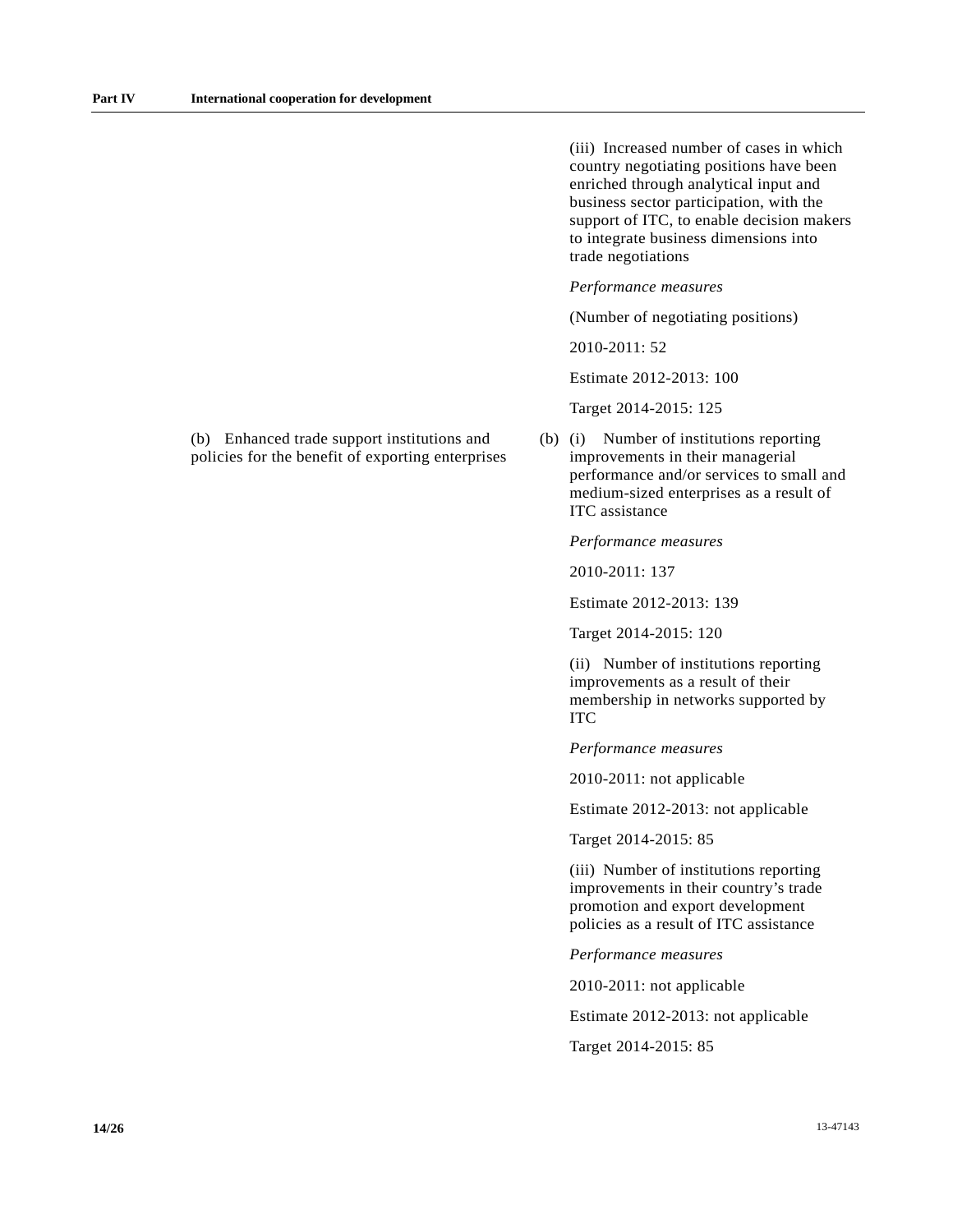(iii) Increased number of cases in which country negotiating positions have been enriched through analytical input and business sector participation, with the support of ITC, to enable decision makers to integrate business dimensions into trade negotiations

*Performance measures* 

(Number of negotiating positions)

2010-2011: 52

Estimate 2012-2013: 100

Target 2014-2015: 125

(b) (i) Number of institutions reporting improvements in their managerial performance and/or services to small and medium-sized enterprises as a result of ITC assistance

*Performance measures* 

2010-2011: 137

Estimate 2012-2013: 139

Target 2014-2015: 120

 (ii) Number of institutions reporting improvements as a result of their membership in networks supported by ITC

*Performance measures* 

2010-2011: not applicable

Estimate 2012-2013: not applicable

Target 2014-2015: 85

 (iii) Number of institutions reporting improvements in their country's trade promotion and export development policies as a result of ITC assistance

*Performance measures* 

2010-2011: not applicable

Estimate 2012-2013: not applicable

Target 2014-2015: 85

(b) Enhanced trade support institutions and policies for the benefit of exporting enterprises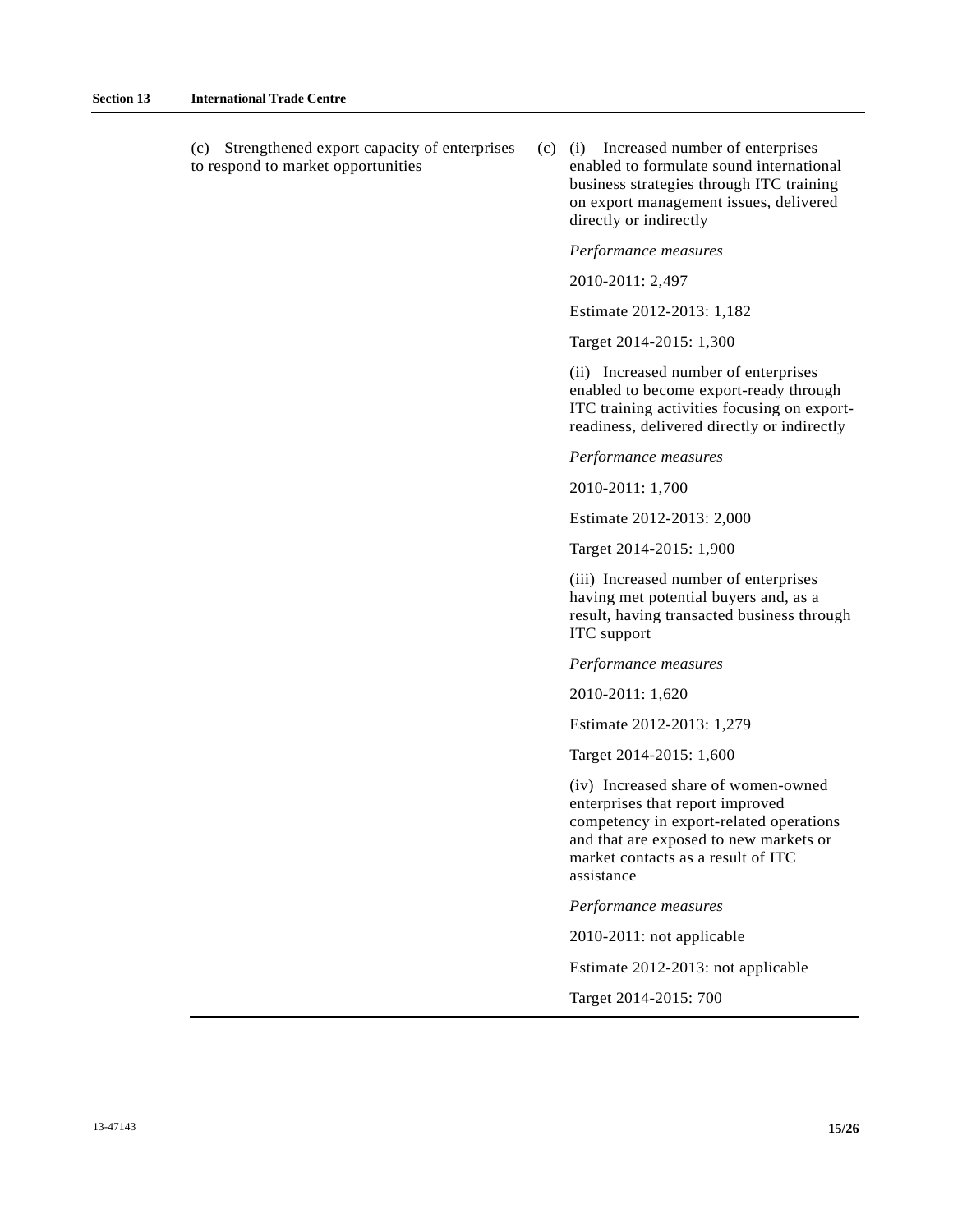(c) Strengthened export capacity of enterprises to respond to market opportunities

(c) (i) Increased number of enterprises enabled to formulate sound international business strategies through ITC training on export management issues, delivered directly or indirectly

#### *Performance measures*

2010-2011: 2,497

Estimate 2012-2013: 1,182

Target 2014-2015: 1,300

 (ii) Increased number of enterprises enabled to become export-ready through ITC training activities focusing on exportreadiness, delivered directly or indirectly

*Performance measures* 

2010-2011: 1,700

Estimate 2012-2013: 2,000

Target 2014-2015: 1,900

 (iii) Increased number of enterprises having met potential buyers and, as a result, having transacted business through ITC support

*Performance measures* 

2010-2011: 1,620

Estimate 2012-2013: 1,279

Target 2014-2015: 1,600

 (iv) Increased share of women-owned enterprises that report improved competency in export-related operations and that are exposed to new markets or market contacts as a result of ITC assistance

*Performance measures* 

2010-2011: not applicable

Estimate 2012-2013: not applicable

Target 2014-2015: 700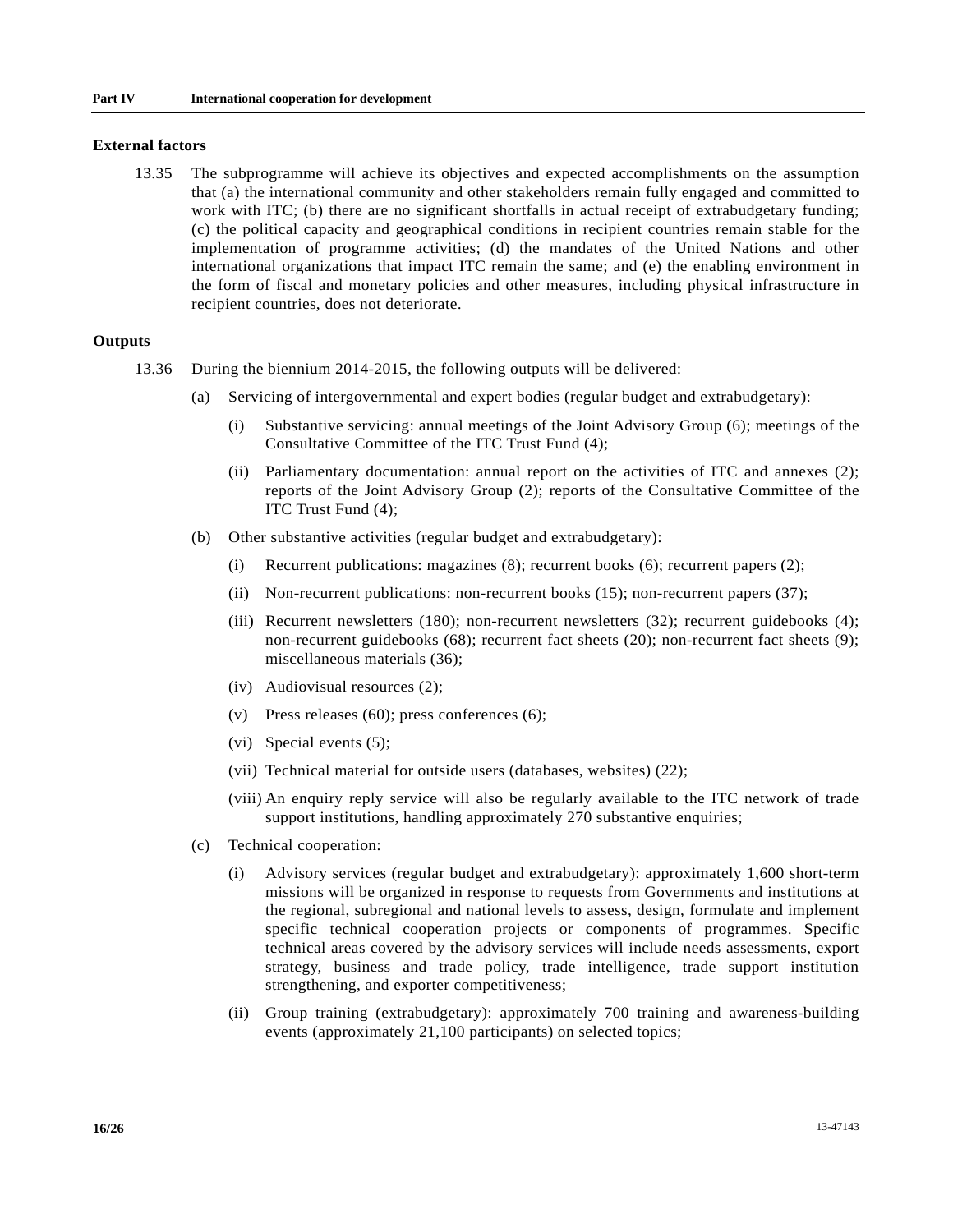#### **External factors**

 13.35 The subprogramme will achieve its objectives and expected accomplishments on the assumption that (a) the international community and other stakeholders remain fully engaged and committed to work with ITC; (b) there are no significant shortfalls in actual receipt of extrabudgetary funding; (c) the political capacity and geographical conditions in recipient countries remain stable for the implementation of programme activities; (d) the mandates of the United Nations and other international organizations that impact ITC remain the same; and (e) the enabling environment in the form of fiscal and monetary policies and other measures, including physical infrastructure in recipient countries, does not deteriorate.

### **Outputs**

- 13.36 During the biennium 2014-2015, the following outputs will be delivered:
	- (a) Servicing of intergovernmental and expert bodies (regular budget and extrabudgetary):
		- (i) Substantive servicing: annual meetings of the Joint Advisory Group (6); meetings of the Consultative Committee of the ITC Trust Fund (4);
		- (ii) Parliamentary documentation: annual report on the activities of ITC and annexes (2); reports of the Joint Advisory Group (2); reports of the Consultative Committee of the ITC Trust Fund (4);
	- (b) Other substantive activities (regular budget and extrabudgetary):
		- (i) Recurrent publications: magazines (8); recurrent books (6); recurrent papers (2);
		- (ii) Non-recurrent publications: non-recurrent books (15); non-recurrent papers (37);
		- (iii) Recurrent newsletters (180); non-recurrent newsletters (32); recurrent guidebooks (4); non-recurrent guidebooks (68); recurrent fact sheets (20); non-recurrent fact sheets (9); miscellaneous materials (36);
		- (iv) Audiovisual resources (2);
		- (v) Press releases (60); press conferences (6);
		- (vi) Special events (5);
		- (vii) Technical material for outside users (databases, websites) (22);
		- (viii) An enquiry reply service will also be regularly available to the ITC network of trade support institutions, handling approximately 270 substantive enquiries;
	- (c) Technical cooperation:
		- (i) Advisory services (regular budget and extrabudgetary): approximately 1,600 short-term missions will be organized in response to requests from Governments and institutions at the regional, subregional and national levels to assess, design, formulate and implement specific technical cooperation projects or components of programmes. Specific technical areas covered by the advisory services will include needs assessments, export strategy, business and trade policy, trade intelligence, trade support institution strengthening, and exporter competitiveness;
		- (ii) Group training (extrabudgetary): approximately 700 training and awareness-building events (approximately 21,100 participants) on selected topics;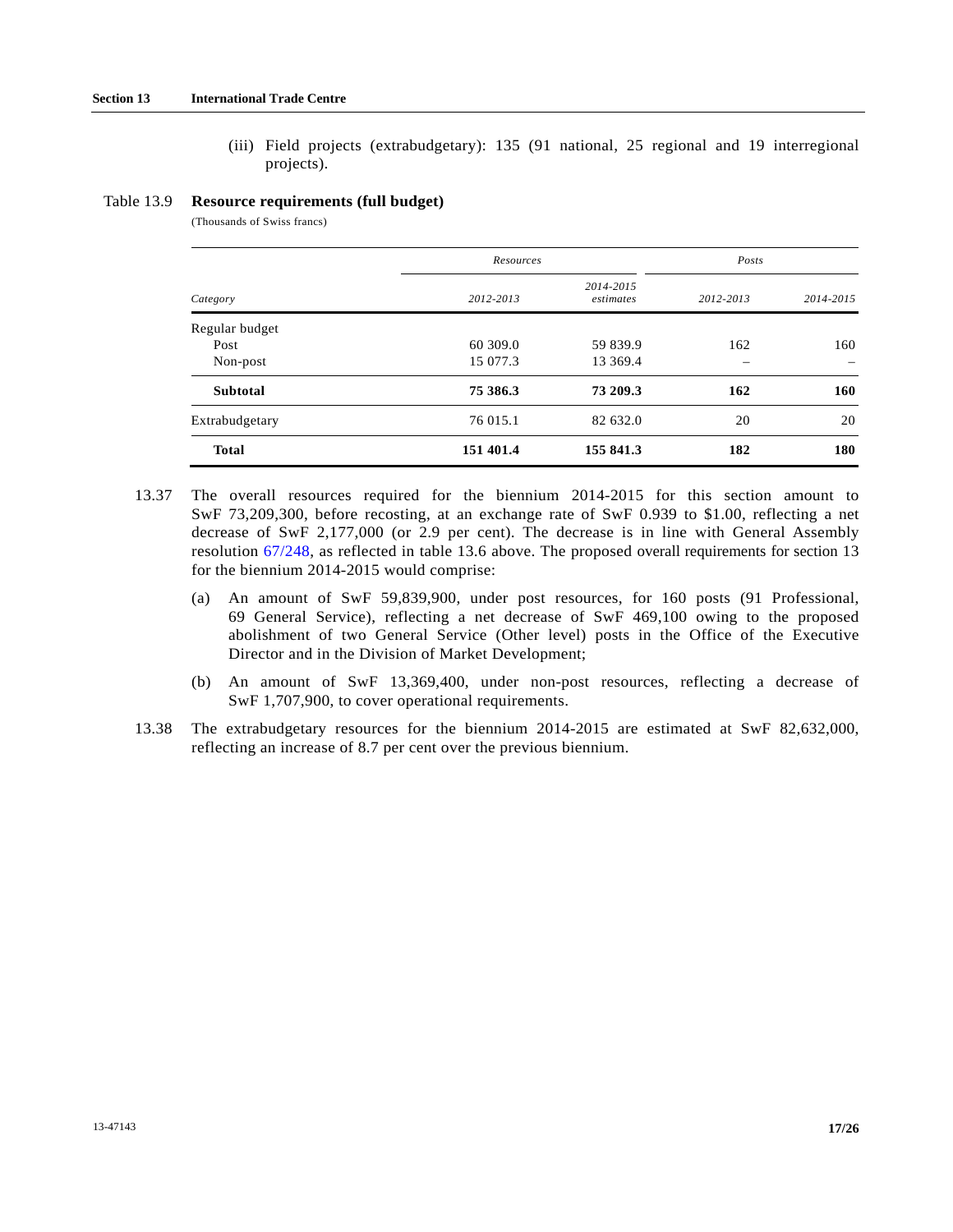(iii) Field projects (extrabudgetary): 135 (91 national, 25 regional and 19 interregional projects).

#### Table 13.9 **Resource requirements (full budget)**

(Thousands of Swiss francs)

|                 | Resources | Posts                  |           |           |  |
|-----------------|-----------|------------------------|-----------|-----------|--|
| Category        | 2012-2013 | 2014-2015<br>estimates | 2012-2013 | 2014-2015 |  |
| Regular budget  |           |                        |           |           |  |
| Post            | 60 309.0  | 59 839.9               | 162       | 160       |  |
| Non-post        | 15 077.3  | 13 369.4               |           |           |  |
| <b>Subtotal</b> | 75 386.3  | 73 209.3               | 162       | 160       |  |
| Extrabudgetary  | 76 015.1  | 82 632.0               | 20        | 20        |  |
| <b>Total</b>    | 151 401.4 | 155 841.3              | 182       | 180       |  |

- 13.37 The overall resources required for the biennium 2014-2015 for this section amount to SwF 73,209,300, before recosting, at an exchange rate of SwF 0.939 to \$1.00, reflecting a net decrease of SwF 2,177,000 (or 2.9 per cent). The decrease is in line with General Assembly resolution [67/248](http://undocs.org/A/RES/67/248), as reflected in table 13.6 above. The proposed overall requirements for section 13 for the biennium 2014-2015 would comprise:
	- (a) An amount of SwF 59,839,900, under post resources, for 160 posts (91 Professional, 69 General Service), reflecting a net decrease of SwF 469,100 owing to the proposed abolishment of two General Service (Other level) posts in the Office of the Executive Director and in the Division of Market Development;
	- (b) An amount of SwF 13,369,400, under non-post resources, reflecting a decrease of SwF 1,707,900, to cover operational requirements.
- 13.38 The extrabudgetary resources for the biennium 2014-2015 are estimated at SwF 82,632,000, reflecting an increase of 8.7 per cent over the previous biennium.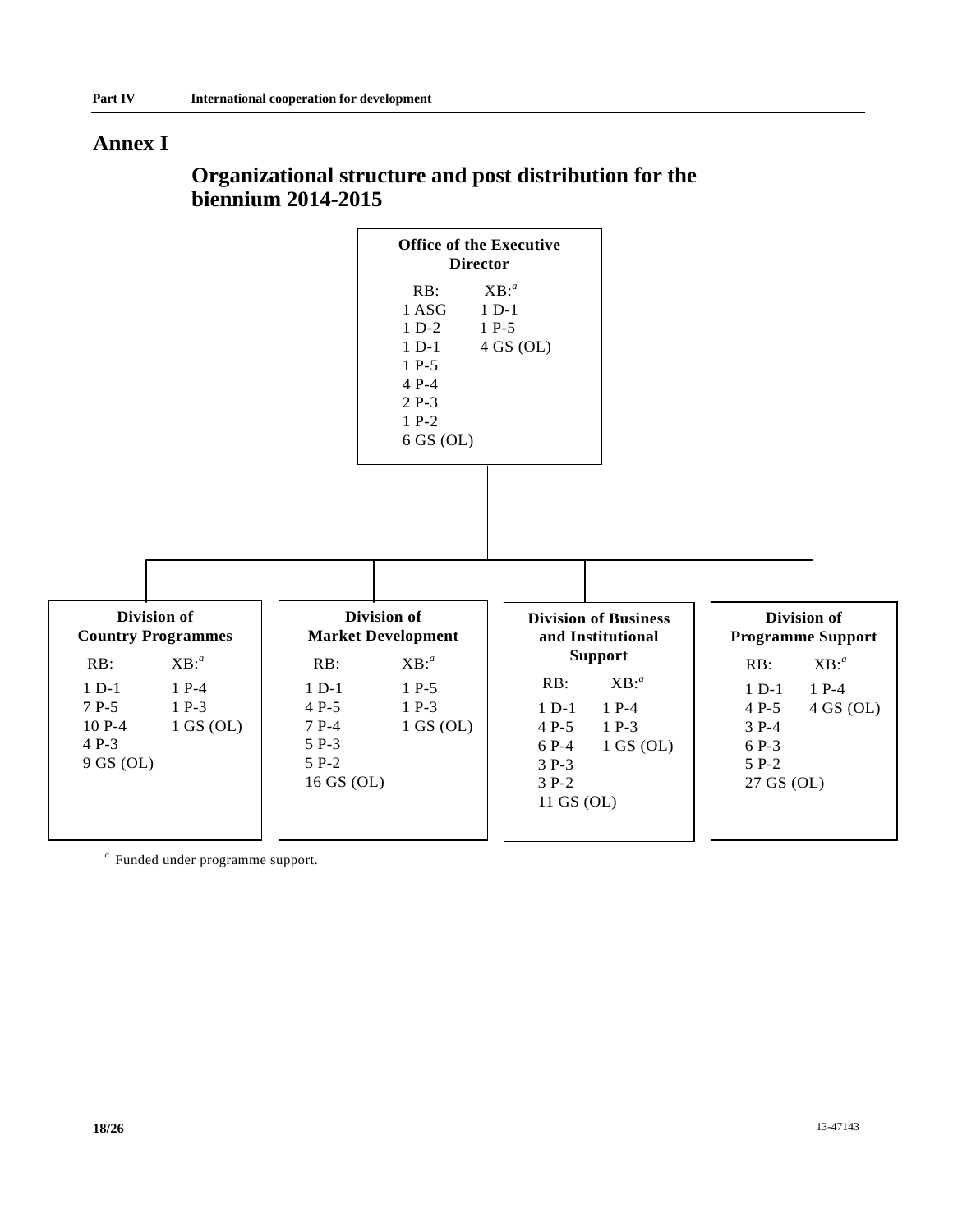## **Annex I**

# **Organizational structure and post distribution for the biennium 2014-2015**



*a* Funded under programme support.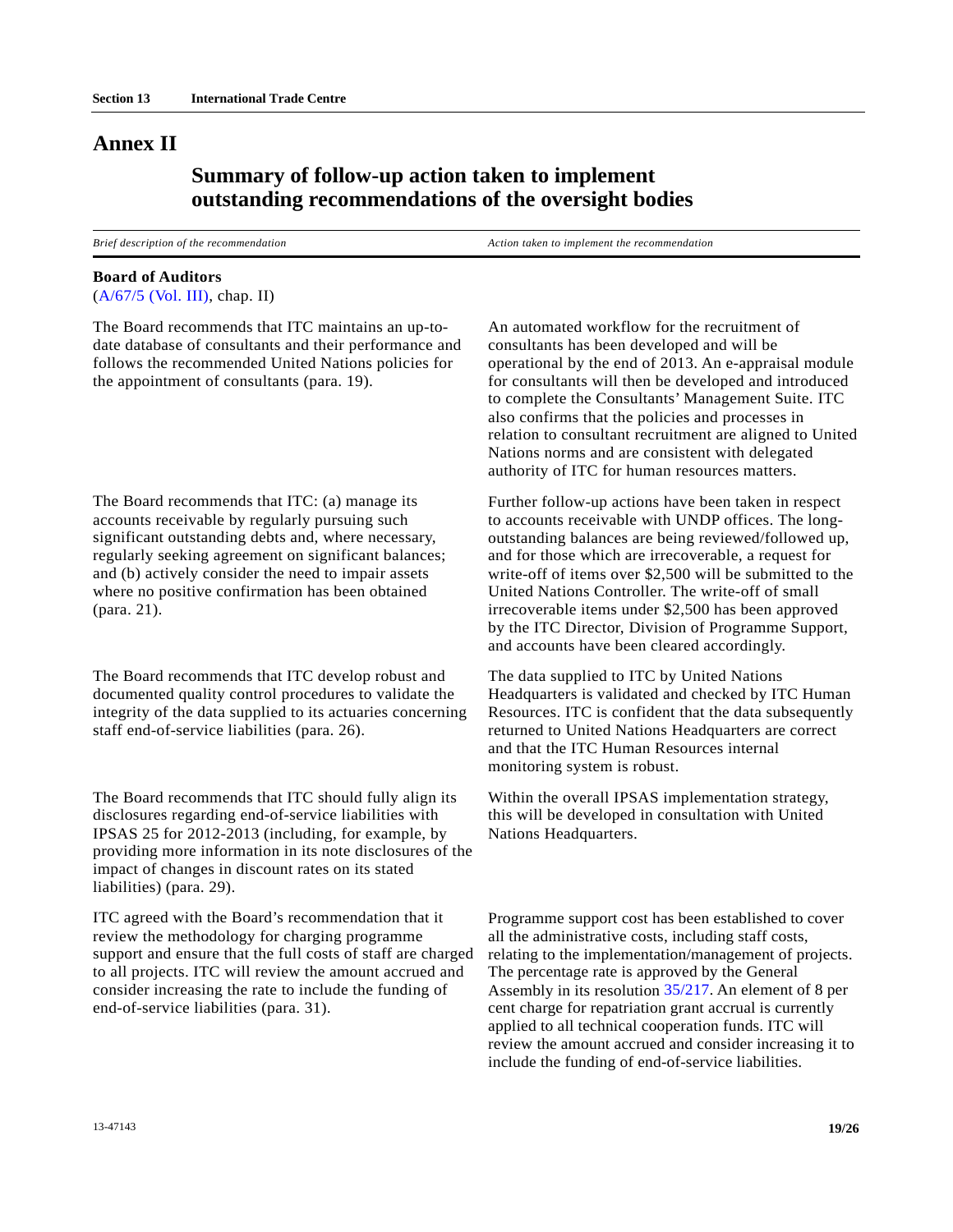## **Annex II**

## **Summary of follow-up action taken to implement outstanding recommendations of the oversight bodies**

*Brief description of the recommendation*  $\blacksquare$  *Action taken to implement the recommendation* 

#### **Board of Auditors**

[\(A/67/5 \(Vol. III\)](http://undocs.org/A/67/5(Vol.III)), chap. II)

The Board recommends that ITC maintains an up-todate database of consultants and their performance and follows the recommended United Nations policies for the appointment of consultants (para. 19).

The Board recommends that ITC: (a) manage its accounts receivable by regularly pursuing such significant outstanding debts and, where necessary, regularly seeking agreement on significant balances; and (b) actively consider the need to impair assets where no positive confirmation has been obtained (para. 21).

The Board recommends that ITC develop robust and documented quality control procedures to validate the integrity of the data supplied to its actuaries concerning staff end-of-service liabilities (para. 26).

The Board recommends that ITC should fully align its disclosures regarding end-of-service liabilities with IPSAS 25 for 2012-2013 (including, for example, by providing more information in its note disclosures of the impact of changes in discount rates on its stated liabilities) (para. 29).

ITC agreed with the Board's recommendation that it review the methodology for charging programme support and ensure that the full costs of staff are charged to all projects. ITC will review the amount accrued and consider increasing the rate to include the funding of end-of-service liabilities (para. 31).

An automated workflow for the recruitment of consultants has been developed and will be operational by the end of 2013. An e-appraisal module for consultants will then be developed and introduced to complete the Consultants' Management Suite. ITC also confirms that the policies and processes in relation to consultant recruitment are aligned to United Nations norms and are consistent with delegated authority of ITC for human resources matters.

Further follow-up actions have been taken in respect to accounts receivable with UNDP offices. The longoutstanding balances are being reviewed/followed up, and for those which are irrecoverable, a request for write-off of items over \$2,500 will be submitted to the United Nations Controller. The write-off of small irrecoverable items under \$2,500 has been approved by the ITC Director, Division of Programme Support, and accounts have been cleared accordingly.

The data supplied to ITC by United Nations Headquarters is validated and checked by ITC Human Resources. ITC is confident that the data subsequently returned to United Nations Headquarters are correct and that the ITC Human Resources internal monitoring system is robust.

Within the overall IPSAS implementation strategy, this will be developed in consultation with United Nations Headquarters.

Programme support cost has been established to cover all the administrative costs, including staff costs, relating to the implementation/management of projects. The percentage rate is approved by the General Assembly in its resolution [35/217](http://undocs.org/A/RES/35/217). An element of 8 per cent charge for repatriation grant accrual is currently applied to all technical cooperation funds. ITC will review the amount accrued and consider increasing it to include the funding of end-of-service liabilities.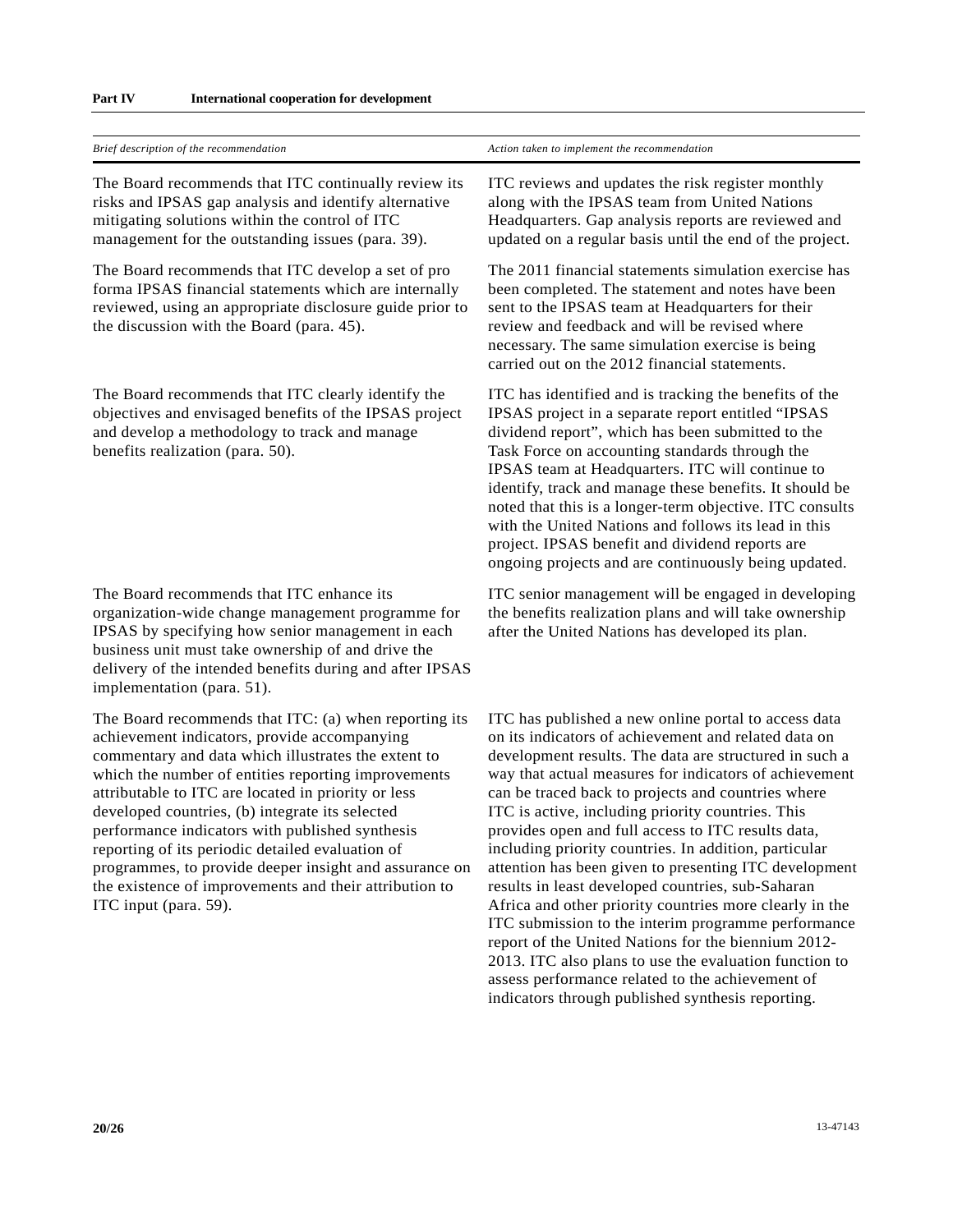| Brief description of the recommendation                                                                                                                                                                                                                                                                                                                                                                                                                                                                                                                                           | Action taken to implement the recommendation                                                                                                                                                                                                                                                                                                                                                                                                                                                                                                                                                                                                                                                                                                                                                                                                                                                                          |
|-----------------------------------------------------------------------------------------------------------------------------------------------------------------------------------------------------------------------------------------------------------------------------------------------------------------------------------------------------------------------------------------------------------------------------------------------------------------------------------------------------------------------------------------------------------------------------------|-----------------------------------------------------------------------------------------------------------------------------------------------------------------------------------------------------------------------------------------------------------------------------------------------------------------------------------------------------------------------------------------------------------------------------------------------------------------------------------------------------------------------------------------------------------------------------------------------------------------------------------------------------------------------------------------------------------------------------------------------------------------------------------------------------------------------------------------------------------------------------------------------------------------------|
| The Board recommends that ITC continually review its<br>risks and IPSAS gap analysis and identify alternative<br>mitigating solutions within the control of ITC<br>management for the outstanding issues (para. 39).                                                                                                                                                                                                                                                                                                                                                              | ITC reviews and updates the risk register monthly<br>along with the IPSAS team from United Nations<br>Headquarters. Gap analysis reports are reviewed and<br>updated on a regular basis until the end of the project.                                                                                                                                                                                                                                                                                                                                                                                                                                                                                                                                                                                                                                                                                                 |
| The Board recommends that ITC develop a set of pro<br>forma IPSAS financial statements which are internally<br>reviewed, using an appropriate disclosure guide prior to<br>the discussion with the Board (para. 45).                                                                                                                                                                                                                                                                                                                                                              | The 2011 financial statements simulation exercise has<br>been completed. The statement and notes have been<br>sent to the IPSAS team at Headquarters for their<br>review and feedback and will be revised where<br>necessary. The same simulation exercise is being<br>carried out on the 2012 financial statements.                                                                                                                                                                                                                                                                                                                                                                                                                                                                                                                                                                                                  |
| The Board recommends that ITC clearly identify the<br>objectives and envisaged benefits of the IPSAS project<br>and develop a methodology to track and manage<br>benefits realization (para. 50).                                                                                                                                                                                                                                                                                                                                                                                 | ITC has identified and is tracking the benefits of the<br>IPSAS project in a separate report entitled "IPSAS<br>dividend report", which has been submitted to the<br>Task Force on accounting standards through the<br>IPSAS team at Headquarters. ITC will continue to<br>identify, track and manage these benefits. It should be<br>noted that this is a longer-term objective. ITC consults<br>with the United Nations and follows its lead in this<br>project. IPSAS benefit and dividend reports are<br>ongoing projects and are continuously being updated.                                                                                                                                                                                                                                                                                                                                                     |
| The Board recommends that ITC enhance its<br>organization-wide change management programme for<br>IPSAS by specifying how senior management in each<br>business unit must take ownership of and drive the<br>delivery of the intended benefits during and after IPSAS<br>implementation (para. 51).                                                                                                                                                                                                                                                                               | ITC senior management will be engaged in developing<br>the benefits realization plans and will take ownership<br>after the United Nations has developed its plan.                                                                                                                                                                                                                                                                                                                                                                                                                                                                                                                                                                                                                                                                                                                                                     |
| The Board recommends that ITC: (a) when reporting its<br>achievement indicators, provide accompanying<br>commentary and data which illustrates the extent to<br>which the number of entities reporting improvements<br>attributable to ITC are located in priority or less<br>developed countries, (b) integrate its selected<br>performance indicators with published synthesis<br>reporting of its periodic detailed evaluation of<br>programmes, to provide deeper insight and assurance on<br>the existence of improvements and their attribution to<br>ITC input (para. 59). | ITC has published a new online portal to access data<br>on its indicators of achievement and related data on<br>development results. The data are structured in such a<br>way that actual measures for indicators of achievement<br>can be traced back to projects and countries where<br>ITC is active, including priority countries. This<br>provides open and full access to ITC results data,<br>including priority countries. In addition, particular<br>attention has been given to presenting ITC development<br>results in least developed countries, sub-Saharan<br>Africa and other priority countries more clearly in the<br>ITC submission to the interim programme performance<br>report of the United Nations for the biennium 2012-<br>2013. ITC also plans to use the evaluation function to<br>assess performance related to the achievement of<br>indicators through published synthesis reporting. |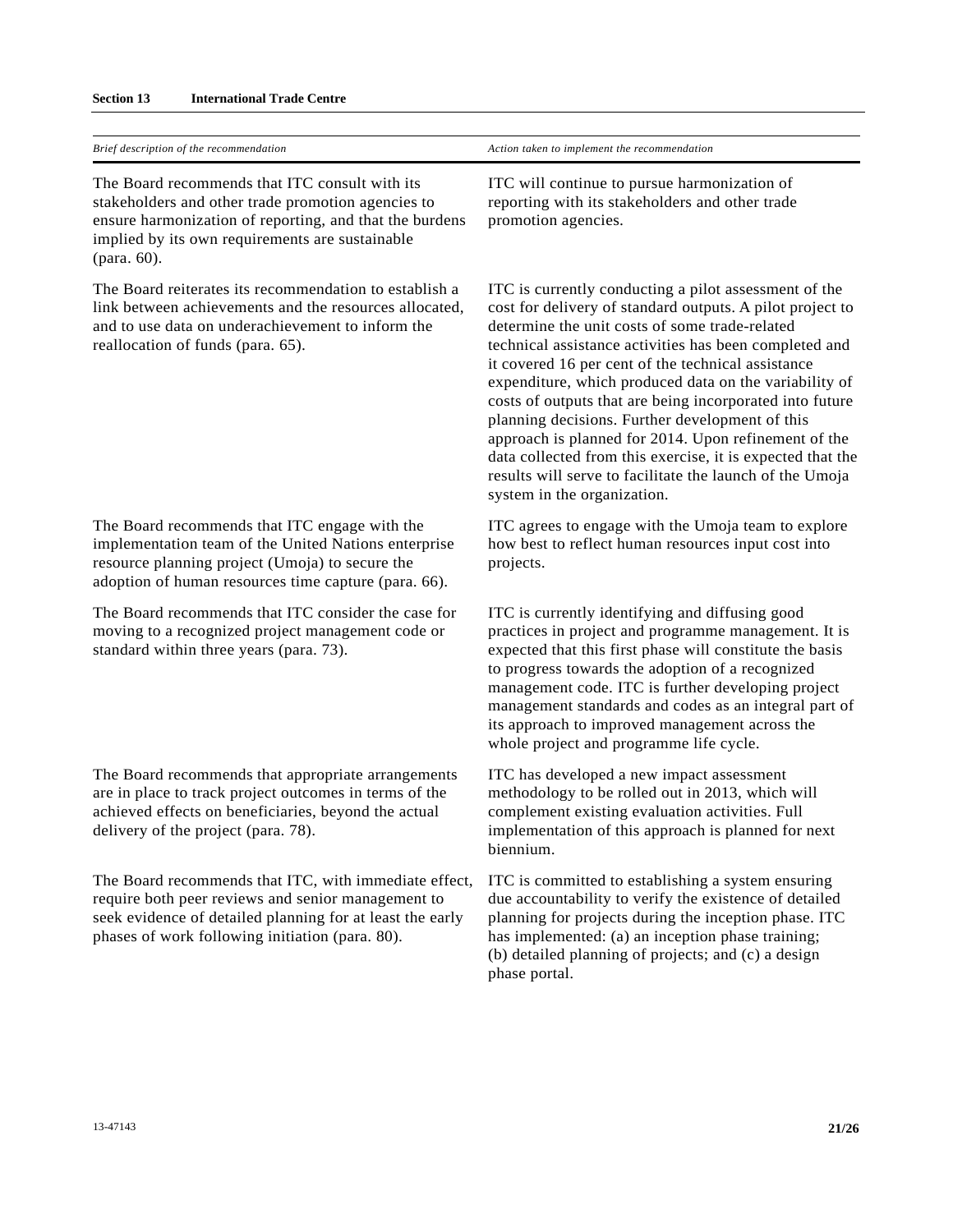#### **Section 13 International Trade Centre**

| ITC will continue to pursue harmonization of<br>reporting with its stakeholders and other trade<br>promotion agencies.                                                                                                                                                                                                                                                                                                                                                                                                                                                                                                                                                         |
|--------------------------------------------------------------------------------------------------------------------------------------------------------------------------------------------------------------------------------------------------------------------------------------------------------------------------------------------------------------------------------------------------------------------------------------------------------------------------------------------------------------------------------------------------------------------------------------------------------------------------------------------------------------------------------|
| ITC is currently conducting a pilot assessment of the<br>cost for delivery of standard outputs. A pilot project to<br>determine the unit costs of some trade-related<br>technical assistance activities has been completed and<br>it covered 16 per cent of the technical assistance<br>expenditure, which produced data on the variability of<br>costs of outputs that are being incorporated into future<br>planning decisions. Further development of this<br>approach is planned for 2014. Upon refinement of the<br>data collected from this exercise, it is expected that the<br>results will serve to facilitate the launch of the Umoja<br>system in the organization. |
| ITC agrees to engage with the Umoja team to explore<br>how best to reflect human resources input cost into<br>projects.                                                                                                                                                                                                                                                                                                                                                                                                                                                                                                                                                        |
| ITC is currently identifying and diffusing good<br>practices in project and programme management. It is<br>expected that this first phase will constitute the basis<br>to progress towards the adoption of a recognized<br>management code. ITC is further developing project<br>management standards and codes as an integral part of<br>its approach to improved management across the<br>whole project and programme life cycle.                                                                                                                                                                                                                                            |
| ITC has developed a new impact assessment<br>methodology to be rolled out in 2013, which will<br>complement existing evaluation activities. Full<br>implementation of this approach is planned for next<br>biennium.                                                                                                                                                                                                                                                                                                                                                                                                                                                           |
| ITC is committed to establishing a system ensuring<br>due accountability to verify the existence of detailed<br>planning for projects during the inception phase. ITC<br>has implemented: (a) an inception phase training;<br>(b) detailed planning of projects; and (c) a design<br>phase portal.                                                                                                                                                                                                                                                                                                                                                                             |
|                                                                                                                                                                                                                                                                                                                                                                                                                                                                                                                                                                                                                                                                                |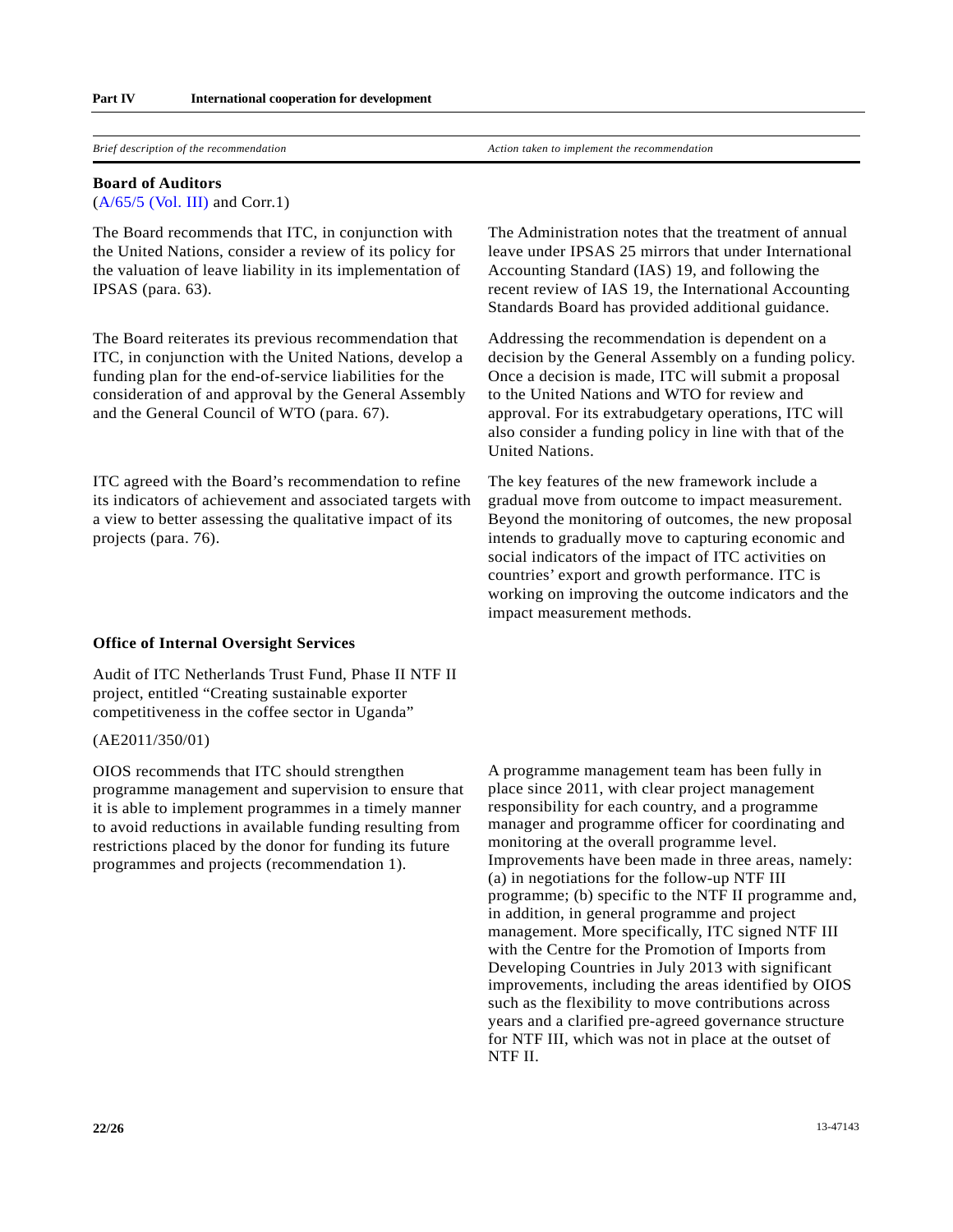*Brief description of the recommendation*  $\blacksquare$  *Action taken to implement the recommendation* 

#### **Board of Auditors**

[\(A/65/5 \(Vol. III\)](http://undocs.org/A/65/5(Vol.III)) and Corr.1)

The Board recommends that ITC, in conjunction with the United Nations, consider a review of its policy for the valuation of leave liability in its implementation of IPSAS (para. 63).

The Board reiterates its previous recommendation that ITC, in conjunction with the United Nations, develop a funding plan for the end-of-service liabilities for the consideration of and approval by the General Assembly and the General Council of WTO (para. 67).

ITC agreed with the Board's recommendation to refine its indicators of achievement and associated targets with a view to better assessing the qualitative impact of its projects (para. 76).

#### **Office of Internal Oversight Services**

Audit of ITC Netherlands Trust Fund, Phase II NTF II project, entitled "Creating sustainable exporter competitiveness in the coffee sector in Uganda"

#### (AE2011/350/01)

OIOS recommends that ITC should strengthen programme management and supervision to ensure that it is able to implement programmes in a timely manner to avoid reductions in available funding resulting from restrictions placed by the donor for funding its future programmes and projects (recommendation 1).

The Administration notes that the treatment of annual leave under IPSAS 25 mirrors that under International Accounting Standard (IAS) 19, and following the recent review of IAS 19, the International Accounting Standards Board has provided additional guidance.

Addressing the recommendation is dependent on a decision by the General Assembly on a funding policy. Once a decision is made, ITC will submit a proposal to the United Nations and WTO for review and approval. For its extrabudgetary operations, ITC will also consider a funding policy in line with that of the United Nations.

The key features of the new framework include a gradual move from outcome to impact measurement. Beyond the monitoring of outcomes, the new proposal intends to gradually move to capturing economic and social indicators of the impact of ITC activities on countries' export and growth performance. ITC is working on improving the outcome indicators and the impact measurement methods.

A programme management team has been fully in place since 2011, with clear project management responsibility for each country, and a programme manager and programme officer for coordinating and monitoring at the overall programme level. Improvements have been made in three areas, namely: (a) in negotiations for the follow-up NTF III programme; (b) specific to the NTF II programme and, in addition, in general programme and project management. More specifically, ITC signed NTF III with the Centre for the Promotion of Imports from Developing Countries in July 2013 with significant improvements, including the areas identified by OIOS such as the flexibility to move contributions across years and a clarified pre-agreed governance structure for NTF III, which was not in place at the outset of NTF II.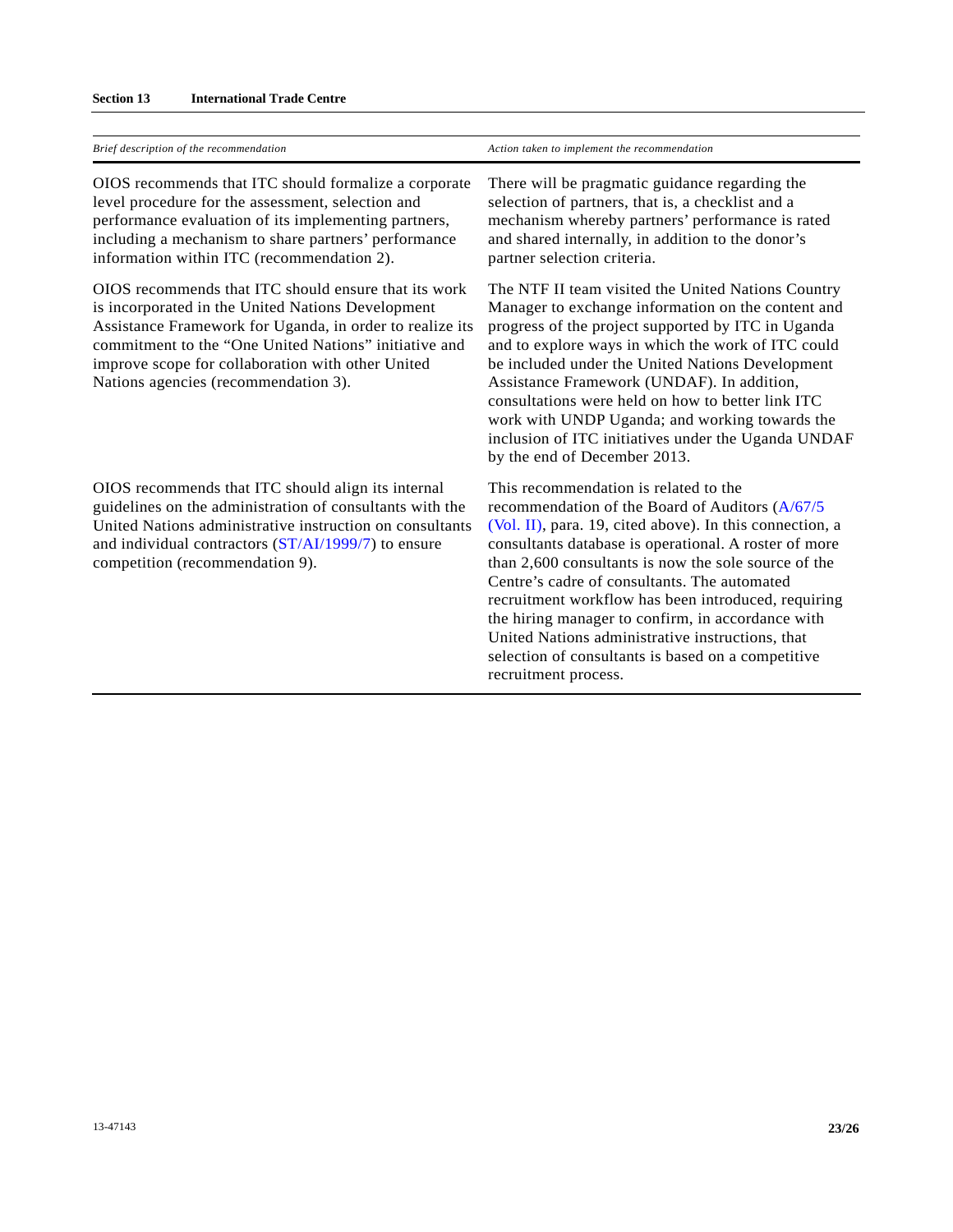| Brief description of the recommendation                                                                                                                                                                                                                                                                                     | Action taken to implement the recommendation                                                                                                                                                                                                                                                                                                                                                                                                                                                                                                                        |
|-----------------------------------------------------------------------------------------------------------------------------------------------------------------------------------------------------------------------------------------------------------------------------------------------------------------------------|---------------------------------------------------------------------------------------------------------------------------------------------------------------------------------------------------------------------------------------------------------------------------------------------------------------------------------------------------------------------------------------------------------------------------------------------------------------------------------------------------------------------------------------------------------------------|
| OIOS recommends that ITC should formalize a corporate<br>level procedure for the assessment, selection and<br>performance evaluation of its implementing partners,<br>including a mechanism to share partners' performance<br>information within ITC (recommendation 2).                                                    | There will be pragmatic guidance regarding the<br>selection of partners, that is, a checklist and a<br>mechanism whereby partners' performance is rated<br>and shared internally, in addition to the donor's<br>partner selection criteria.                                                                                                                                                                                                                                                                                                                         |
| OIOS recommends that ITC should ensure that its work<br>is incorporated in the United Nations Development<br>Assistance Framework for Uganda, in order to realize its<br>commitment to the "One United Nations" initiative and<br>improve scope for collaboration with other United<br>Nations agencies (recommendation 3). | The NTF II team visited the United Nations Country<br>Manager to exchange information on the content and<br>progress of the project supported by ITC in Uganda<br>and to explore ways in which the work of ITC could<br>be included under the United Nations Development<br>Assistance Framework (UNDAF). In addition,<br>consultations were held on how to better link ITC<br>work with UNDP Uganda; and working towards the<br>inclusion of ITC initiatives under the Uganda UNDAF<br>by the end of December 2013.                                                |
| OIOS recommends that ITC should align its internal<br>guidelines on the administration of consultants with the<br>United Nations administrative instruction on consultants<br>and individual contractors (ST/AI/1999/7) to ensure<br>competition (recommendation 9).                                                        | This recommendation is related to the<br>recommendation of the Board of Auditors (A/67/5<br>(Vol. II), para. 19, cited above). In this connection, a<br>consultants database is operational. A roster of more<br>than 2,600 consultants is now the sole source of the<br>Centre's cadre of consultants. The automated<br>recruitment workflow has been introduced, requiring<br>the hiring manager to confirm, in accordance with<br>United Nations administrative instructions, that<br>selection of consultants is based on a competitive<br>recruitment process. |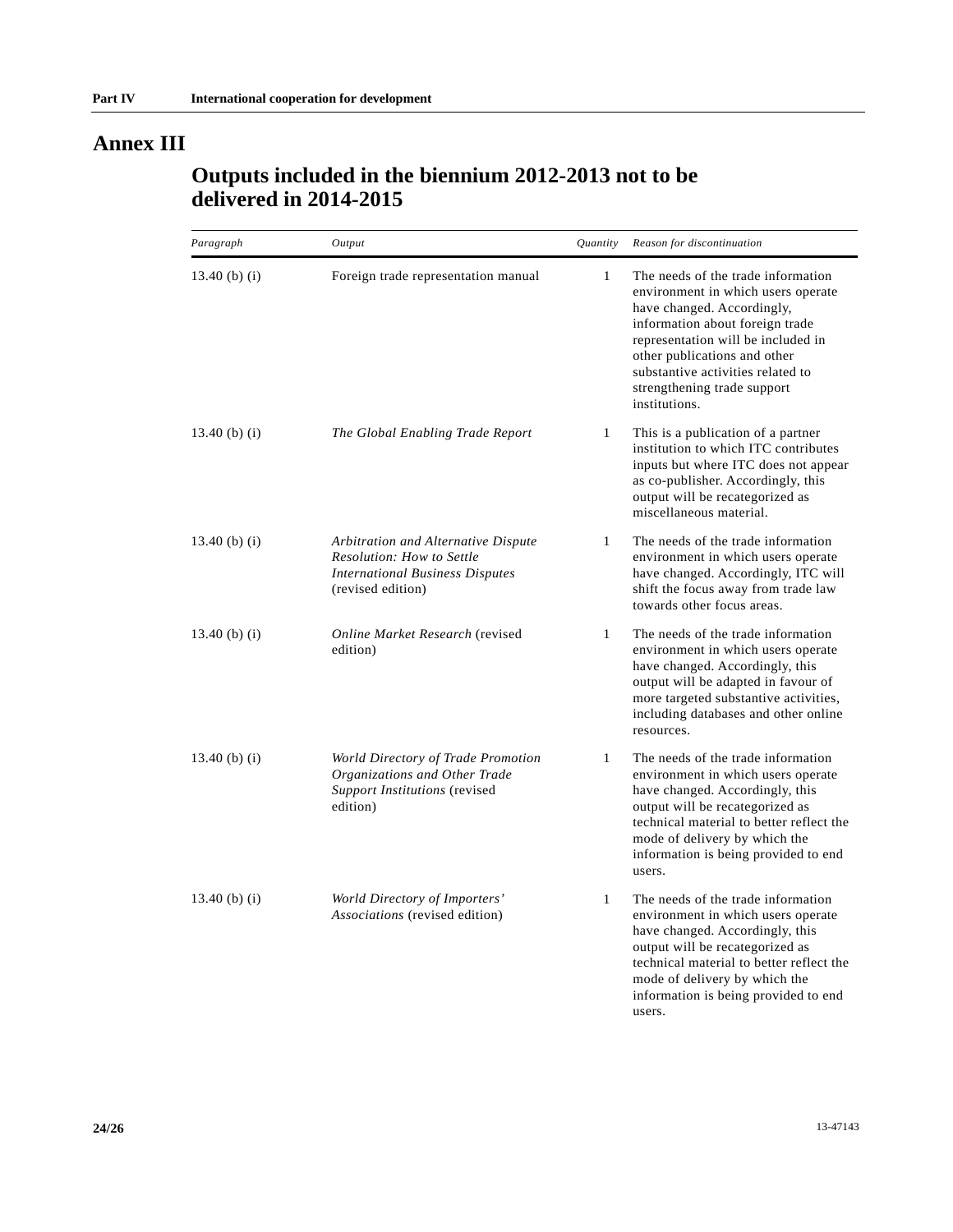# **Annex III**

# **Outputs included in the biennium 2012-2013 not to be delivered in 2014-2015**

| Paragraph     | Output                                                                                                                          | Quantity     | Reason for discontinuation                                                                                                                                                                                                                                                                           |
|---------------|---------------------------------------------------------------------------------------------------------------------------------|--------------|------------------------------------------------------------------------------------------------------------------------------------------------------------------------------------------------------------------------------------------------------------------------------------------------------|
| 13.40 (b) (i) | Foreign trade representation manual                                                                                             | $\mathbf{1}$ | The needs of the trade information<br>environment in which users operate<br>have changed. Accordingly,<br>information about foreign trade<br>representation will be included in<br>other publications and other<br>substantive activities related to<br>strengthening trade support<br>institutions. |
| 13.40 (b) (i) | The Global Enabling Trade Report                                                                                                | $\mathbf{1}$ | This is a publication of a partner<br>institution to which ITC contributes<br>inputs but where ITC does not appear<br>as co-publisher. Accordingly, this<br>output will be recategorized as<br>miscellaneous material.                                                                               |
| 13.40 (b) (i) | Arbitration and Alternative Dispute<br>Resolution: How to Settle<br><b>International Business Disputes</b><br>(revised edition) | $\mathbf{1}$ | The needs of the trade information<br>environment in which users operate<br>have changed. Accordingly, ITC will<br>shift the focus away from trade law<br>towards other focus areas.                                                                                                                 |
| 13.40 (b) (i) | Online Market Research (revised<br>edition)                                                                                     | $\mathbf{1}$ | The needs of the trade information<br>environment in which users operate<br>have changed. Accordingly, this<br>output will be adapted in favour of<br>more targeted substantive activities,<br>including databases and other online<br>resources.                                                    |
| 13.40 (b) (i) | World Directory of Trade Promotion<br>Organizations and Other Trade<br>Support Institutions (revised<br>edition)                | $\mathbf{1}$ | The needs of the trade information<br>environment in which users operate<br>have changed. Accordingly, this<br>output will be recategorized as<br>technical material to better reflect the<br>mode of delivery by which the<br>information is being provided to end<br>users.                        |
| 13.40 (b) (i) | World Directory of Importers'<br>Associations (revised edition)                                                                 | $\mathbf{1}$ | The needs of the trade information<br>environment in which users operate<br>have changed. Accordingly, this<br>output will be recategorized as<br>technical material to better reflect the<br>mode of delivery by which the<br>information is being provided to end                                  |

users.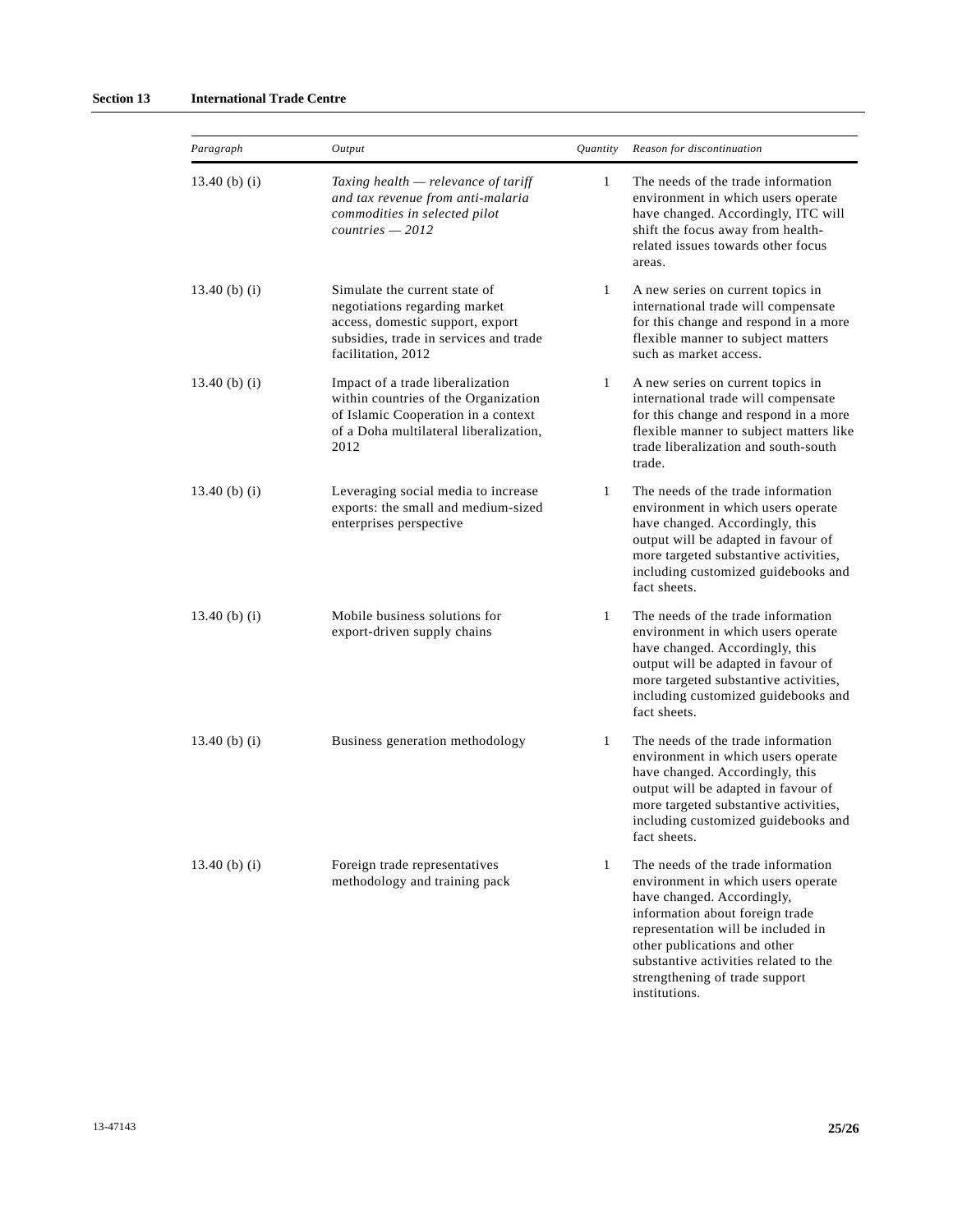| Paragraph         | Output                                                                                                                                                             | Quantity     | Reason for discontinuation                                                                                                                                                                                                                                                                 |
|-------------------|--------------------------------------------------------------------------------------------------------------------------------------------------------------------|--------------|--------------------------------------------------------------------------------------------------------------------------------------------------------------------------------------------------------------------------------------------------------------------------------------------|
| 13.40 $(b)$ $(i)$ | Taxing health — relevance of tariff<br>and tax revenue from anti-malaria<br>commodities in selected pilot<br>$countries - 2012$                                    | 1            | The needs of the trade information<br>environment in which users operate<br>have changed. Accordingly, ITC will<br>shift the focus away from health-<br>related issues towards other focus<br>areas.                                                                                       |
| 13.40 (b) (i)     | Simulate the current state of<br>negotiations regarding market<br>access, domestic support, export<br>subsidies, trade in services and trade<br>facilitation, 2012 | 1            | A new series on current topics in<br>international trade will compensate<br>for this change and respond in a more<br>flexible manner to subject matters<br>such as market access.                                                                                                          |
| 13.40 (b) (i)     | Impact of a trade liberalization<br>within countries of the Organization<br>of Islamic Cooperation in a context<br>of a Doha multilateral liberalization.<br>2012  | 1            | A new series on current topics in<br>international trade will compensate<br>for this change and respond in a more<br>flexible manner to subject matters like<br>trade liberalization and south-south<br>trade.                                                                             |
| 13.40 (b) (i)     | Leveraging social media to increase<br>exports: the small and medium-sized<br>enterprises perspective                                                              | $\mathbf{1}$ | The needs of the trade information<br>environment in which users operate<br>have changed. Accordingly, this<br>output will be adapted in favour of<br>more targeted substantive activities,<br>including customized guidebooks and<br>fact sheets.                                         |
| 13.40 (b) (i)     | Mobile business solutions for<br>export-driven supply chains                                                                                                       | 1            | The needs of the trade information<br>environment in which users operate<br>have changed. Accordingly, this<br>output will be adapted in favour of<br>more targeted substantive activities,<br>including customized guidebooks and<br>fact sheets.                                         |
| 13.40 $(b)$ $(i)$ | Business generation methodology                                                                                                                                    | 1            | The needs of the trade information<br>environment in which users operate<br>have changed. Accordingly, this<br>output will be adapted in favour of<br>more targeted substantive activities,<br>including customized guidebooks and<br>fact sheets.                                         |
| 13.40 (b) (i)     | Foreign trade representatives<br>methodology and training pack                                                                                                     | $\mathbf{1}$ | The needs of the trade information<br>environment in which users operate<br>have changed. Accordingly,<br>information about foreign trade<br>representation will be included in<br>other publications and other<br>substantive activities related to the<br>strengthening of trade support |

institutions.